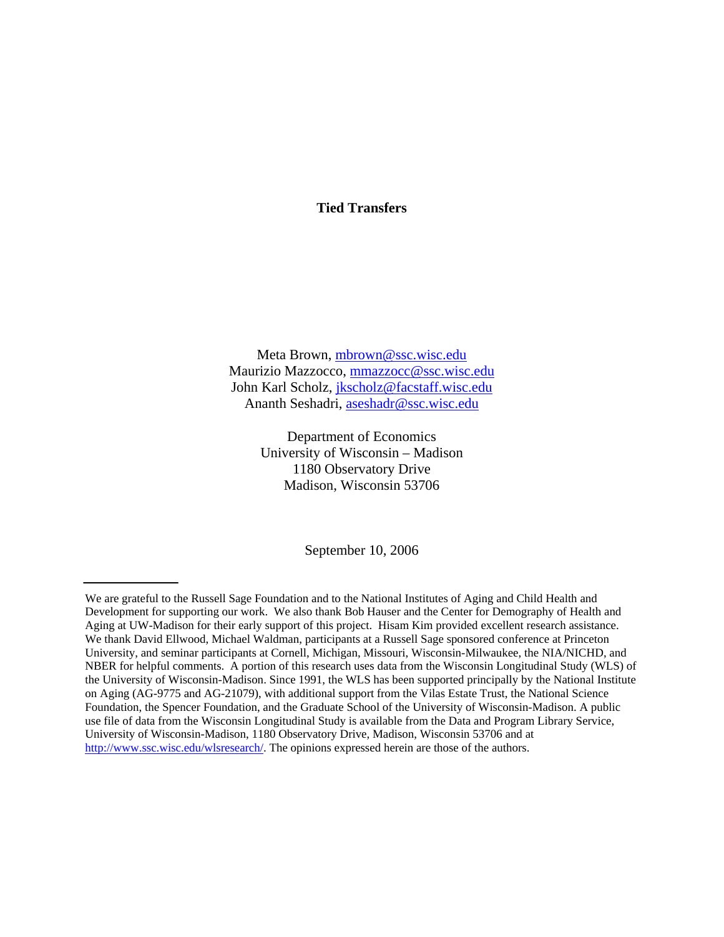# **Tied Transfers**

Meta Brown, mbrown@ssc.wisc.edu Maurizio Mazzocco, mmazzocc@ssc.wisc.edu John Karl Scholz, jkscholz@facstaff.wisc.edu Ananth Seshadri, aseshadr@ssc.wisc.edu

> Department of Economics University of Wisconsin – Madison 1180 Observatory Drive Madison, Wisconsin 53706

> > September 10, 2006

We are grateful to the Russell Sage Foundation and to the National Institutes of Aging and Child Health and Development for supporting our work. We also thank Bob Hauser and the Center for Demography of Health and Aging at UW-Madison for their early support of this project. Hisam Kim provided excellent research assistance. We thank David Ellwood, Michael Waldman, participants at a Russell Sage sponsored conference at Princeton University, and seminar participants at Cornell, Michigan, Missouri, Wisconsin-Milwaukee, the NIA/NICHD, and NBER for helpful comments. A portion of this research uses data from the Wisconsin Longitudinal Study (WLS) of the University of Wisconsin-Madison. Since 1991, the WLS has been supported principally by the National Institute on Aging (AG-9775 and AG-21079), with additional support from the Vilas Estate Trust, the National Science Foundation, the Spencer Foundation, and the Graduate School of the University of Wisconsin-Madison. A public use file of data from the Wisconsin Longitudinal Study is available from the Data and Program Library Service, University of Wisconsin-Madison, 1180 Observatory Drive, Madison, Wisconsin 53706 and at http://www.ssc.wisc.edu/wlsresearch/. The opinions expressed herein are those of the authors.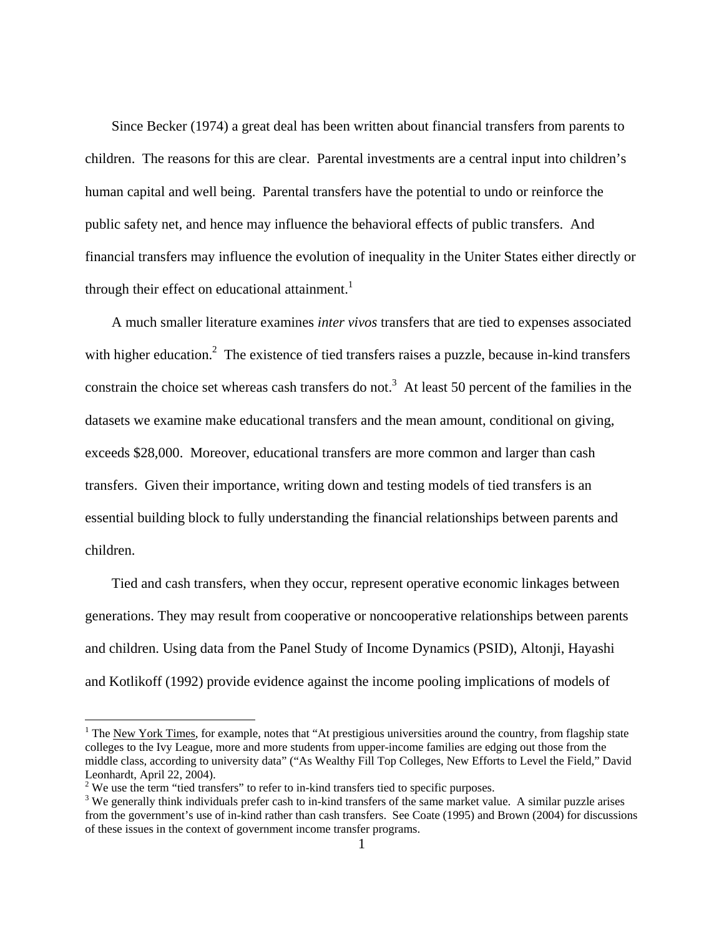Since Becker (1974) a great deal has been written about financial transfers from parents to children. The reasons for this are clear. Parental investments are a central input into children's human capital and well being. Parental transfers have the potential to undo or reinforce the public safety net, and hence may influence the behavioral effects of public transfers. And financial transfers may influence the evolution of inequality in the Uniter States either directly or through their effect on educational attainment.<sup>1</sup>

 A much smaller literature examines *inter vivos* transfers that are tied to expenses associated with higher education.<sup>2</sup> The existence of tied transfers raises a puzzle, because in-kind transfers constrain the choice set whereas cash transfers do not.<sup>3</sup> At least 50 percent of the families in the datasets we examine make educational transfers and the mean amount, conditional on giving, exceeds \$28,000. Moreover, educational transfers are more common and larger than cash transfers. Given their importance, writing down and testing models of tied transfers is an essential building block to fully understanding the financial relationships between parents and children.

 Tied and cash transfers, when they occur, represent operative economic linkages between generations. They may result from cooperative or noncooperative relationships between parents and children. Using data from the Panel Study of Income Dynamics (PSID), Altonji, Hayashi and Kotlikoff (1992) provide evidence against the income pooling implications of models of

 $\overline{a}$ 

<sup>&</sup>lt;sup>1</sup> The <u>New York Times</u>, for example, notes that "At prestigious universities around the country, from flagship state colleges to the Ivy League, more and more students from upper-income families are edging out those from the middle class, according to university data" ("As Wealthy Fill Top Colleges, New Efforts to Level the Field," David Leonhardt, April 22, 2004).

<sup>&</sup>lt;sup>2</sup> We use the term "tied transfers" to refer to in-kind transfers tied to specific purposes.<br><sup>3</sup> We generally think individuals profer each to in kind transfers of the same market value

<sup>&</sup>lt;sup>3</sup> We generally think individuals prefer cash to in-kind transfers of the same market value. A similar puzzle arises from the government's use of in-kind rather than cash transfers. See Coate (1995) and Brown (2004) for discussions of these issues in the context of government income transfer programs.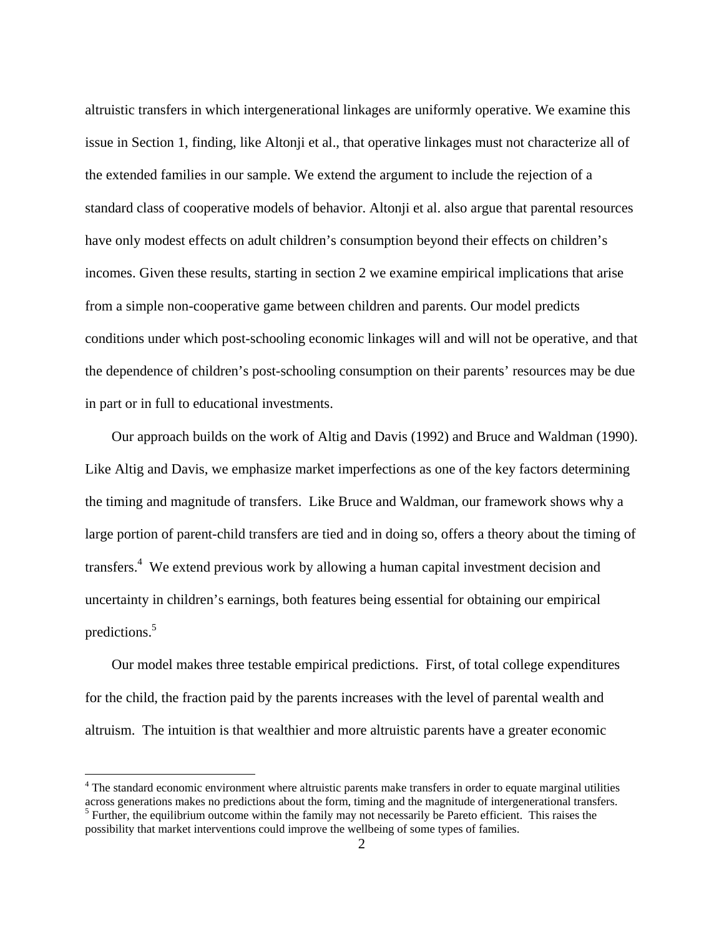altruistic transfers in which intergenerational linkages are uniformly operative. We examine this issue in Section 1, finding, like Altonji et al., that operative linkages must not characterize all of the extended families in our sample. We extend the argument to include the rejection of a standard class of cooperative models of behavior. Altonji et al. also argue that parental resources have only modest effects on adult children's consumption beyond their effects on children's incomes. Given these results, starting in section 2 we examine empirical implications that arise from a simple non-cooperative game between children and parents. Our model predicts conditions under which post-schooling economic linkages will and will not be operative, and that the dependence of children's post-schooling consumption on their parents' resources may be due in part or in full to educational investments.

 Our approach builds on the work of Altig and Davis (1992) and Bruce and Waldman (1990). Like Altig and Davis, we emphasize market imperfections as one of the key factors determining the timing and magnitude of transfers. Like Bruce and Waldman, our framework shows why a large portion of parent-child transfers are tied and in doing so, offers a theory about the timing of transfers.<sup>4</sup> We extend previous work by allowing a human capital investment decision and uncertainty in children's earnings, both features being essential for obtaining our empirical predictions.<sup>5</sup>

 Our model makes three testable empirical predictions. First, of total college expenditures for the child, the fraction paid by the parents increases with the level of parental wealth and altruism. The intuition is that wealthier and more altruistic parents have a greater economic

The standard economic environment where altruistic parents make transfers in order to equate marginal utilities across generations makes no predictions about the form, timing and the magnitude of intergenerational transfers. <sup>5</sup> Further, the equilibrium outcome within the family may not necessarily be Pareto efficient. This raises the possibility that market interventions could improve the wellbeing of some types of families.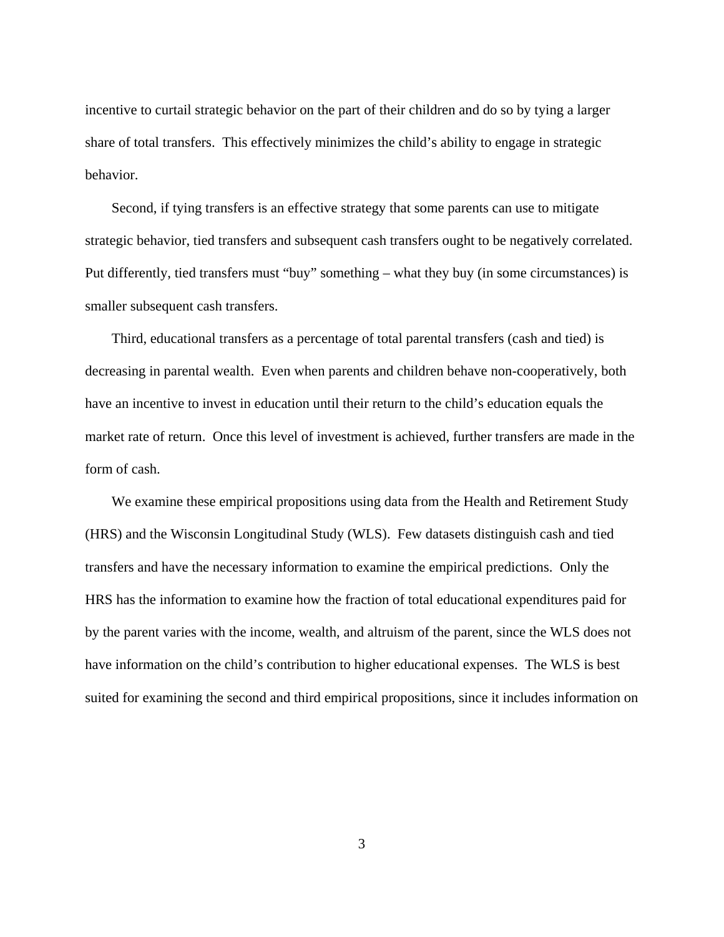incentive to curtail strategic behavior on the part of their children and do so by tying a larger share of total transfers. This effectively minimizes the child's ability to engage in strategic behavior.

 Second, if tying transfers is an effective strategy that some parents can use to mitigate strategic behavior, tied transfers and subsequent cash transfers ought to be negatively correlated. Put differently, tied transfers must "buy" something – what they buy (in some circumstances) is smaller subsequent cash transfers.

 Third, educational transfers as a percentage of total parental transfers (cash and tied) is decreasing in parental wealth. Even when parents and children behave non-cooperatively, both have an incentive to invest in education until their return to the child's education equals the market rate of return. Once this level of investment is achieved, further transfers are made in the form of cash.

 We examine these empirical propositions using data from the Health and Retirement Study (HRS) and the Wisconsin Longitudinal Study (WLS). Few datasets distinguish cash and tied transfers and have the necessary information to examine the empirical predictions. Only the HRS has the information to examine how the fraction of total educational expenditures paid for by the parent varies with the income, wealth, and altruism of the parent, since the WLS does not have information on the child's contribution to higher educational expenses. The WLS is best suited for examining the second and third empirical propositions, since it includes information on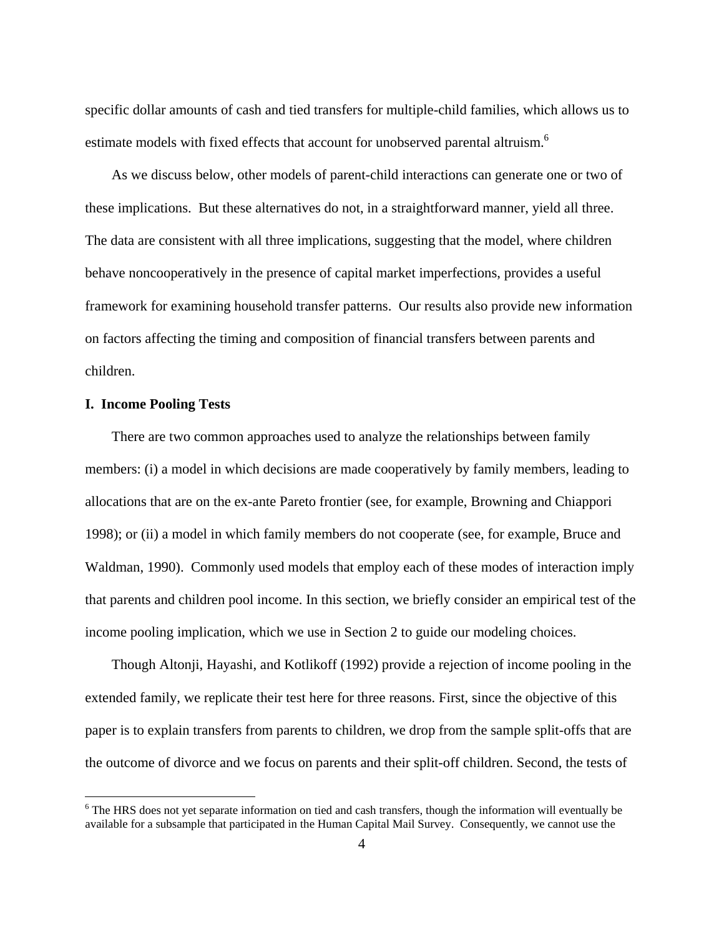specific dollar amounts of cash and tied transfers for multiple-child families, which allows us to estimate models with fixed effects that account for unobserved parental altruism.<sup>6</sup>

 As we discuss below, other models of parent-child interactions can generate one or two of these implications. But these alternatives do not, in a straightforward manner, yield all three. The data are consistent with all three implications, suggesting that the model, where children behave noncooperatively in the presence of capital market imperfections, provides a useful framework for examining household transfer patterns. Our results also provide new information on factors affecting the timing and composition of financial transfers between parents and children.

#### **I. Income Pooling Tests**

 $\overline{a}$ 

 There are two common approaches used to analyze the relationships between family members: (i) a model in which decisions are made cooperatively by family members, leading to allocations that are on the ex-ante Pareto frontier (see, for example, Browning and Chiappori 1998); or (ii) a model in which family members do not cooperate (see, for example, Bruce and Waldman, 1990). Commonly used models that employ each of these modes of interaction imply that parents and children pool income. In this section, we briefly consider an empirical test of the income pooling implication, which we use in Section 2 to guide our modeling choices.

 Though Altonji, Hayashi, and Kotlikoff (1992) provide a rejection of income pooling in the extended family, we replicate their test here for three reasons. First, since the objective of this paper is to explain transfers from parents to children, we drop from the sample split-offs that are the outcome of divorce and we focus on parents and their split-off children. Second, the tests of

<sup>&</sup>lt;sup>6</sup> The HRS does not yet separate information on tied and cash transfers, though the information will eventually be available for a subsample that participated in the Human Capital Mail Survey. Consequently, we cannot use the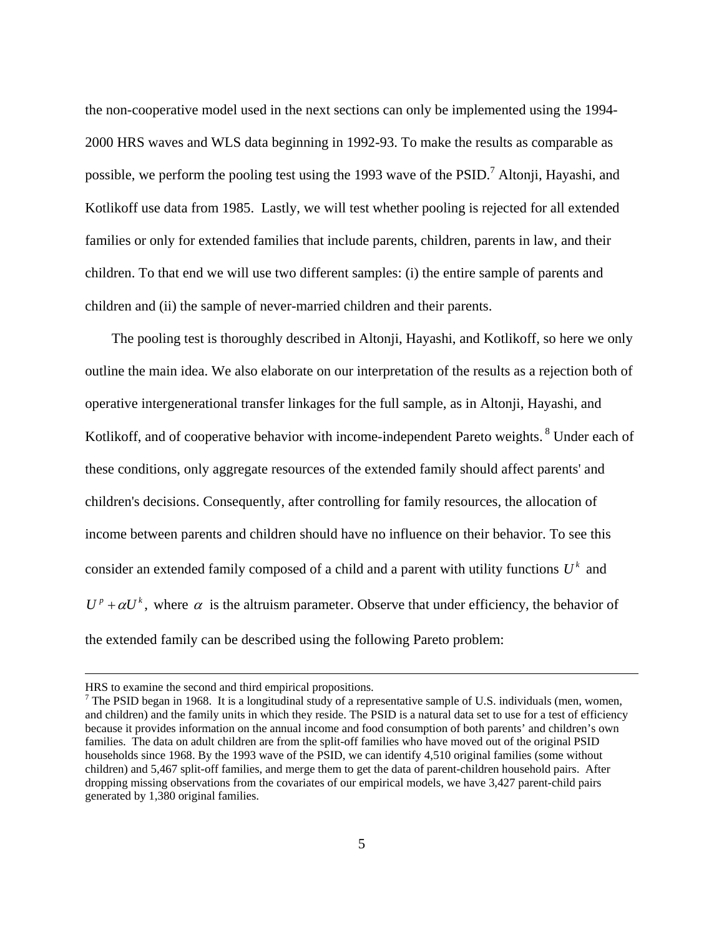the non-cooperative model used in the next sections can only be implemented using the 1994- 2000 HRS waves and WLS data beginning in 1992-93. To make the results as comparable as possible, we perform the pooling test using the 1993 wave of the  $PSID$ .<sup>7</sup> Altonji, Hayashi, and Kotlikoff use data from 1985. Lastly, we will test whether pooling is rejected for all extended families or only for extended families that include parents, children, parents in law, and their children. To that end we will use two different samples: (i) the entire sample of parents and children and (ii) the sample of never-married children and their parents.

 The pooling test is thoroughly described in Altonji, Hayashi, and Kotlikoff, so here we only outline the main idea. We also elaborate on our interpretation of the results as a rejection both of operative intergenerational transfer linkages for the full sample, as in Altonji, Hayashi, and Kotlikoff, and of cooperative behavior with income-independent Pareto weights. <sup>8</sup> Under each of these conditions, only aggregate resources of the extended family should affect parents' and children's decisions. Consequently, after controlling for family resources, the allocation of income between parents and children should have no influence on their behavior. To see this consider an extended family composed of a child and a parent with utility functions  $U^k$  and  $U^p + \alpha U^k$ , where  $\alpha$  is the altruism parameter. Observe that under efficiency, the behavior of the extended family can be described using the following Pareto problem:

HRS to examine the second and third empirical propositions.

 $<sup>7</sup>$  The PSID began in 1968. It is a longitudinal study of a representative sample of U.S. individuals (men, women,</sup> and children) and the family units in which they reside. The PSID is a natural data set to use for a test of efficiency because it provides information on the annual income and food consumption of both parents' and children's own families. The data on adult children are from the split-off families who have moved out of the original PSID households since 1968. By the 1993 wave of the PSID, we can identify 4,510 original families (some without children) and 5,467 split-off families, and merge them to get the data of parent-children household pairs. After dropping missing observations from the covariates of our empirical models, we have 3,427 parent-child pairs generated by 1,380 original families.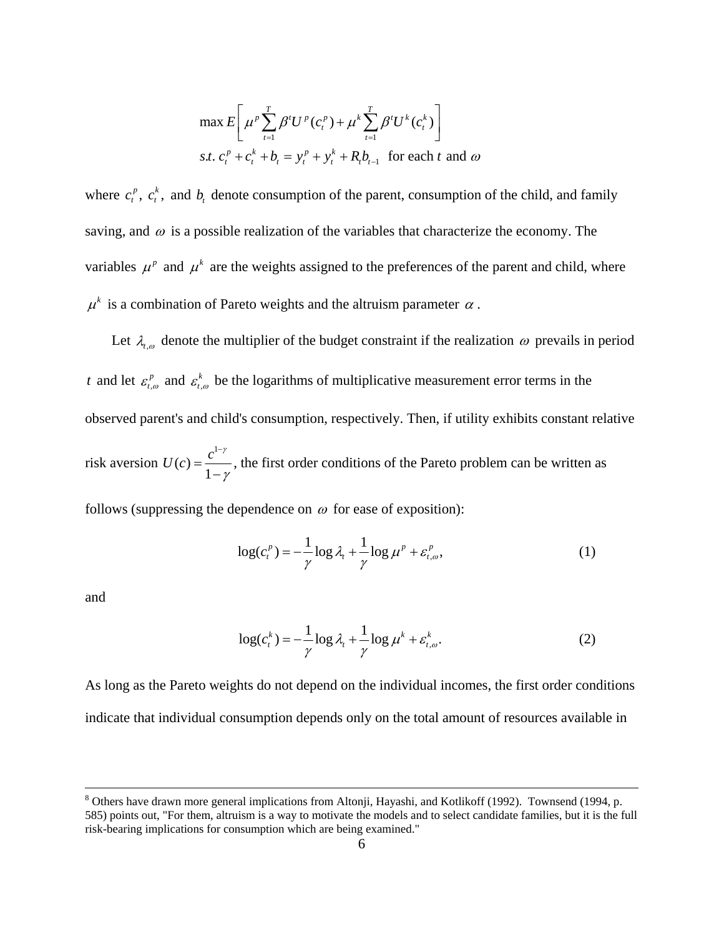$$
\max E\left[\mu^p \sum_{t=1}^T \beta^t U^p(c_t^p) + \mu^k \sum_{t=1}^T \beta^t U^k(c_t^k)\right]
$$
  
s.t.  $c_t^p + c_t^k + b_t = y_t^p + y_t^k + R_t b_{t-1}$  for each  $t$  and  $\omega$ 

where  $c_i^p$ ,  $c_i^k$ , and  $b_i$  denote consumption of the parent, consumption of the child, and family saving, and  $\omega$  is a possible realization of the variables that characterize the economy. The variables  $\mu^p$  and  $\mu^k$  are the weights assigned to the preferences of the parent and child, where  $\mu^k$  is a combination of Pareto weights and the altruism parameter  $\alpha$ .

Let  $\lambda_{t,\omega}$  denote the multiplier of the budget constraint if the realization  $\omega$  prevails in period *t* and let  $\varepsilon_{t,\omega}^p$  and  $\varepsilon_{t,\omega}^k$  be the logarithms of multiplicative measurement error terms in the observed parent's and child's consumption, respectively. Then, if utility exhibits constant relative risk aversion 1  $U(c) = \frac{c^{1-\gamma}}{1-\gamma}$ γ −  $=\frac{c}{1-\gamma}$ , the first order conditions of the Pareto problem can be written as

follows (suppressing the dependence on  $\omega$  for ease of exposition):

$$
\log(c_i^p) = -\frac{1}{\gamma} \log \lambda_i + \frac{1}{\gamma} \log \mu^p + \varepsilon_{t,\omega}^p,\tag{1}
$$

and

$$
\log(c_t^k) = -\frac{1}{\gamma} \log \lambda_t + \frac{1}{\gamma} \log \mu^k + \varepsilon_{t,\omega}^k. \tag{2}
$$

As long as the Pareto weights do not depend on the individual incomes, the first order conditions indicate that individual consumption depends only on the total amount of resources available in

<sup>-&</sup>lt;br>8 Others have drawn more general implications from Altonji, Hayashi, and Kotlikoff (1992). Townsend (1994, p. 585) points out, "For them, altruism is a way to motivate the models and to select candidate families, but it is the full risk-bearing implications for consumption which are being examined."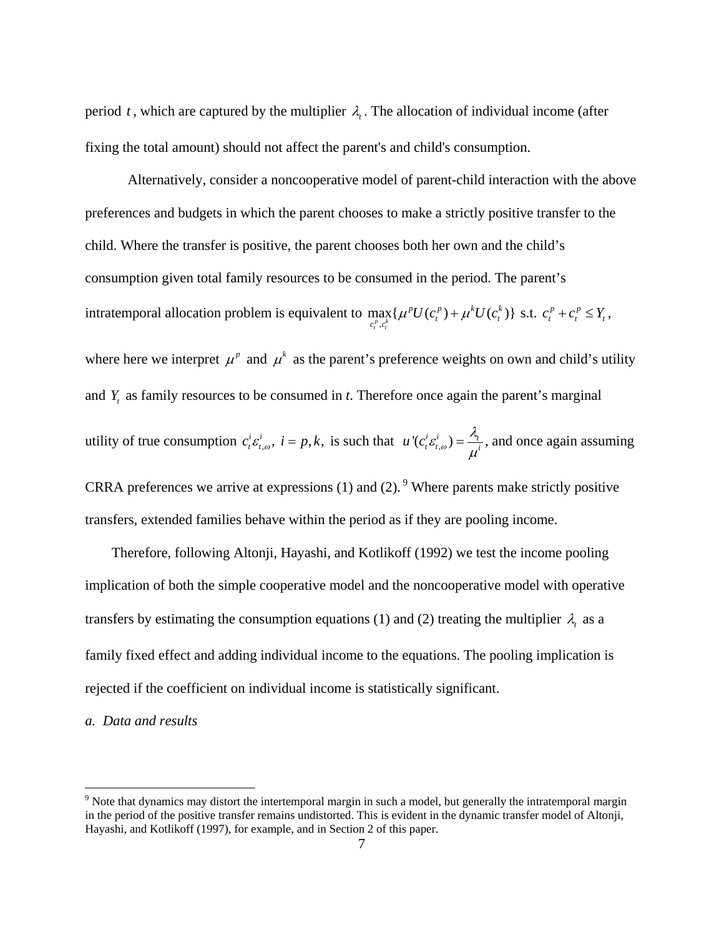period *t*, which are captured by the multiplier  $\lambda$ . The allocation of individual income (after fixing the total amount) should not affect the parent's and child's consumption.

 Alternatively, consider a noncooperative model of parent-child interaction with the above preferences and budgets in which the parent chooses to make a strictly positive transfer to the child. Where the transfer is positive, the parent chooses both her own and the child's consumption given total family resources to be consumed in the period. The parent's intratemporal allocation problem is equivalent to  $\max_{c_i^p, c_i^k} \{\mu^p U(c_i^p) + \mu^k U(c_i^k)\}$  $p_{II(a}p_{1}, k_{II(a}k)$  $\max_{c_t^p, c_t^k} \{ \mu^p U(c_t^p) + \mu^k U(c_t^k) \}$  s.t.  $c_t^p + c_t^p \le Y_t$ , where here we interpret  $\mu^p$  and  $\mu^k$  as the parent's preference weights on own and child's utility and *Y*, as family resources to be consumed in *t*. Therefore once again the parent's marginal utility of true consumption  $c_i^i \varepsilon_{t,\omega}^i$ ,  $i = p, k$ , is such that  $u^i(c_i^i \varepsilon_{t,\omega}^i) = \frac{\lambda_i}{\mu^i}$ , and once again assuming CRRA preferences we arrive at expressions  $(1)$  and  $(2)$ . <sup>9</sup> Where parents make strictly positive transfers, extended families behave within the period as if they are pooling income.

 Therefore, following Altonji, Hayashi, and Kotlikoff (1992) we test the income pooling implication of both the simple cooperative model and the noncooperative model with operative transfers by estimating the consumption equations (1) and (2) treating the multiplier  $\lambda$ <sub>*t*</sub> as a family fixed effect and adding individual income to the equations. The pooling implication is rejected if the coefficient on individual income is statistically significant.

#### *a. Data and results*

 $9$  Note that dynamics may distort the intertemporal margin in such a model, but generally the intratemporal margin in the period of the positive transfer remains undistorted. This is evident in the dynamic transfer model of Altonji, Hayashi, and Kotlikoff (1997), for example, and in Section 2 of this paper.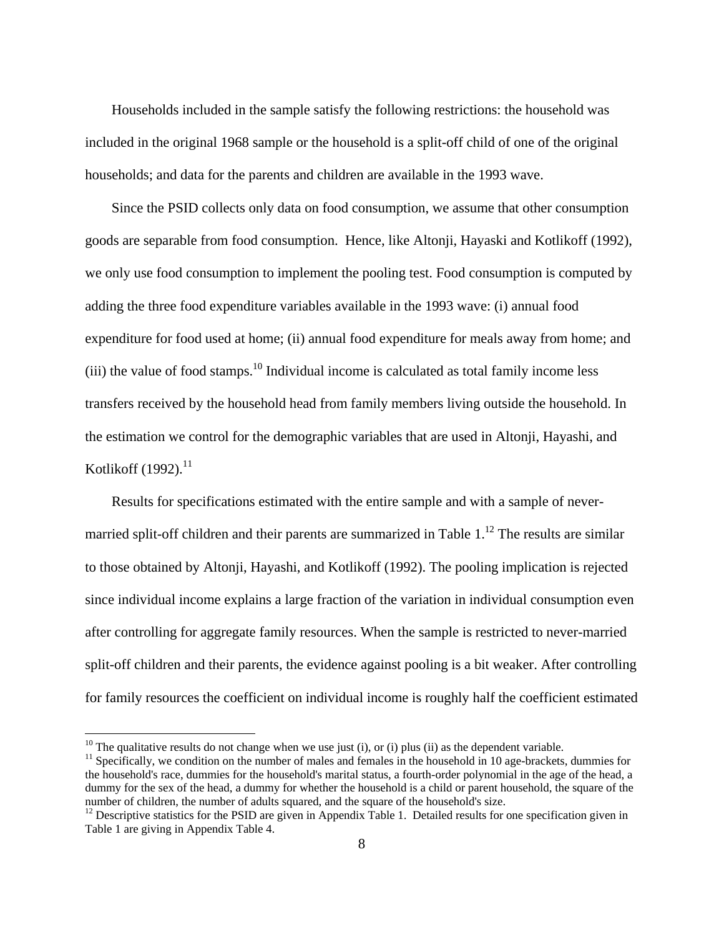Households included in the sample satisfy the following restrictions: the household was included in the original 1968 sample or the household is a split-off child of one of the original households; and data for the parents and children are available in the 1993 wave.

 Since the PSID collects only data on food consumption, we assume that other consumption goods are separable from food consumption. Hence, like Altonji, Hayaski and Kotlikoff (1992), we only use food consumption to implement the pooling test. Food consumption is computed by adding the three food expenditure variables available in the 1993 wave: (i) annual food expenditure for food used at home; (ii) annual food expenditure for meals away from home; and (iii) the value of food stamps.<sup>10</sup> Individual income is calculated as total family income less transfers received by the household head from family members living outside the household. In the estimation we control for the demographic variables that are used in Altonji, Hayashi, and Kotlikoff (1992). $^{11}$ 

 Results for specifications estimated with the entire sample and with a sample of nevermarried split-off children and their parents are summarized in Table  $1<sup>12</sup>$  The results are similar to those obtained by Altonji, Hayashi, and Kotlikoff (1992). The pooling implication is rejected since individual income explains a large fraction of the variation in individual consumption even after controlling for aggregate family resources. When the sample is restricted to never-married split-off children and their parents, the evidence against pooling is a bit weaker. After controlling for family resources the coefficient on individual income is roughly half the coefficient estimated

1

<sup>&</sup>lt;sup>10</sup> The qualitative results do not change when we use just (i), or (i) plus (ii) as the dependent variable. <sup>11</sup> Specifically, we condition on the number of males and females in the household in 10 age-brackets, dummies the household's race, dummies for the household's marital status, a fourth-order polynomial in the age of the head, a dummy for the sex of the head, a dummy for whether the household is a child or parent household, the square of the number of children, the number of adults squared, and the square of the household's size.

 $12$  Descriptive statistics for the PSID are given in Appendix Table 1. Detailed results for one specification given in Table 1 are giving in Appendix Table 4.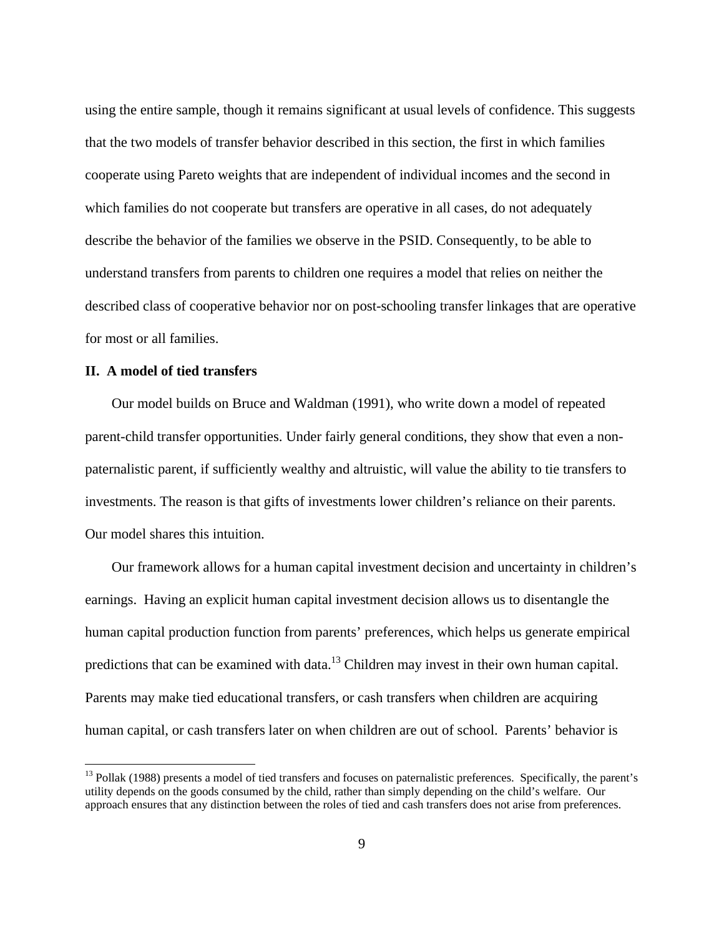using the entire sample, though it remains significant at usual levels of confidence. This suggests that the two models of transfer behavior described in this section, the first in which families cooperate using Pareto weights that are independent of individual incomes and the second in which families do not cooperate but transfers are operative in all cases, do not adequately describe the behavior of the families we observe in the PSID. Consequently, to be able to understand transfers from parents to children one requires a model that relies on neither the described class of cooperative behavior nor on post-schooling transfer linkages that are operative for most or all families.

## **II. A model of tied transfers**

 $\overline{a}$ 

 Our model builds on Bruce and Waldman (1991), who write down a model of repeated parent-child transfer opportunities. Under fairly general conditions, they show that even a nonpaternalistic parent, if sufficiently wealthy and altruistic, will value the ability to tie transfers to investments. The reason is that gifts of investments lower children's reliance on their parents. Our model shares this intuition.

 Our framework allows for a human capital investment decision and uncertainty in children's earnings. Having an explicit human capital investment decision allows us to disentangle the human capital production function from parents' preferences, which helps us generate empirical predictions that can be examined with data.<sup>13</sup> Children may invest in their own human capital. Parents may make tied educational transfers, or cash transfers when children are acquiring human capital, or cash transfers later on when children are out of school. Parents' behavior is

 $<sup>13</sup>$  Pollak (1988) presents a model of tied transfers and focuses on paternalistic preferences. Specifically, the parent's</sup> utility depends on the goods consumed by the child, rather than simply depending on the child's welfare. Our approach ensures that any distinction between the roles of tied and cash transfers does not arise from preferences.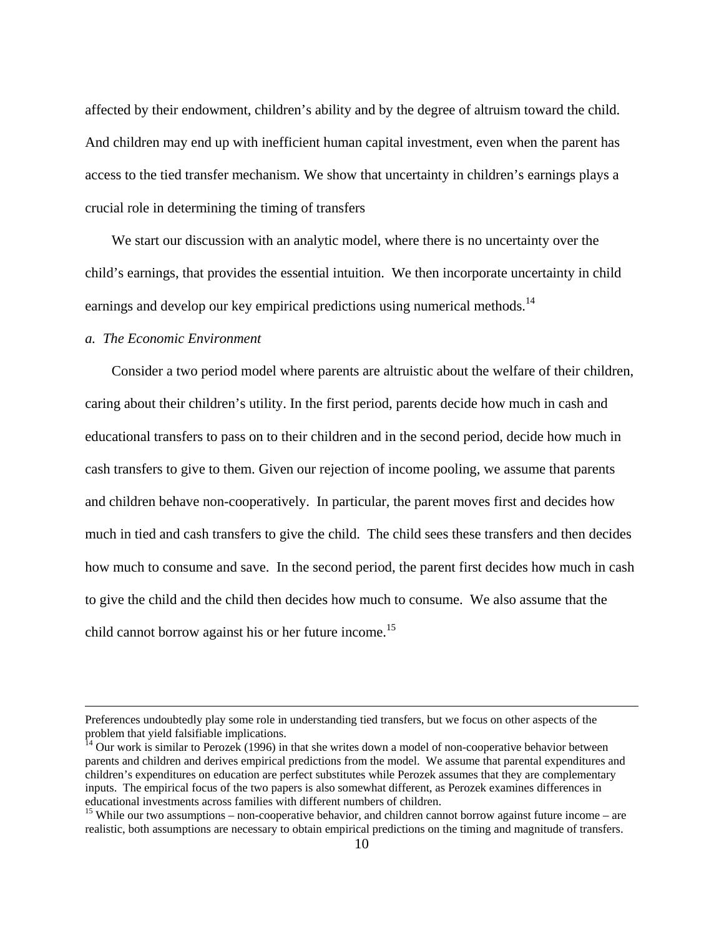affected by their endowment, children's ability and by the degree of altruism toward the child. And children may end up with inefficient human capital investment, even when the parent has access to the tied transfer mechanism. We show that uncertainty in children's earnings plays a crucial role in determining the timing of transfers

 We start our discussion with an analytic model, where there is no uncertainty over the child's earnings, that provides the essential intuition. We then incorporate uncertainty in child earnings and develop our key empirical predictions using numerical methods.<sup>14</sup>

# *a. The Economic Environment*

 Consider a two period model where parents are altruistic about the welfare of their children, caring about their children's utility. In the first period, parents decide how much in cash and educational transfers to pass on to their children and in the second period, decide how much in cash transfers to give to them. Given our rejection of income pooling, we assume that parents and children behave non-cooperatively. In particular, the parent moves first and decides how much in tied and cash transfers to give the child. The child sees these transfers and then decides how much to consume and save. In the second period, the parent first decides how much in cash to give the child and the child then decides how much to consume. We also assume that the child cannot borrow against his or her future income.<sup>15</sup>

Preferences undoubtedly play some role in understanding tied transfers, but we focus on other aspects of the problem that yield falsifiable implications.

 $14$  Our work is similar to Perozek (1996) in that she writes down a model of non-cooperative behavior between parents and children and derives empirical predictions from the model. We assume that parental expenditures and children's expenditures on education are perfect substitutes while Perozek assumes that they are complementary inputs. The empirical focus of the two papers is also somewhat different, as Perozek examines differences in educational investments across families with different numbers of children.

 $15$  While our two assumptions – non-cooperative behavior, and children cannot borrow against future income – are realistic, both assumptions are necessary to obtain empirical predictions on the timing and magnitude of transfers.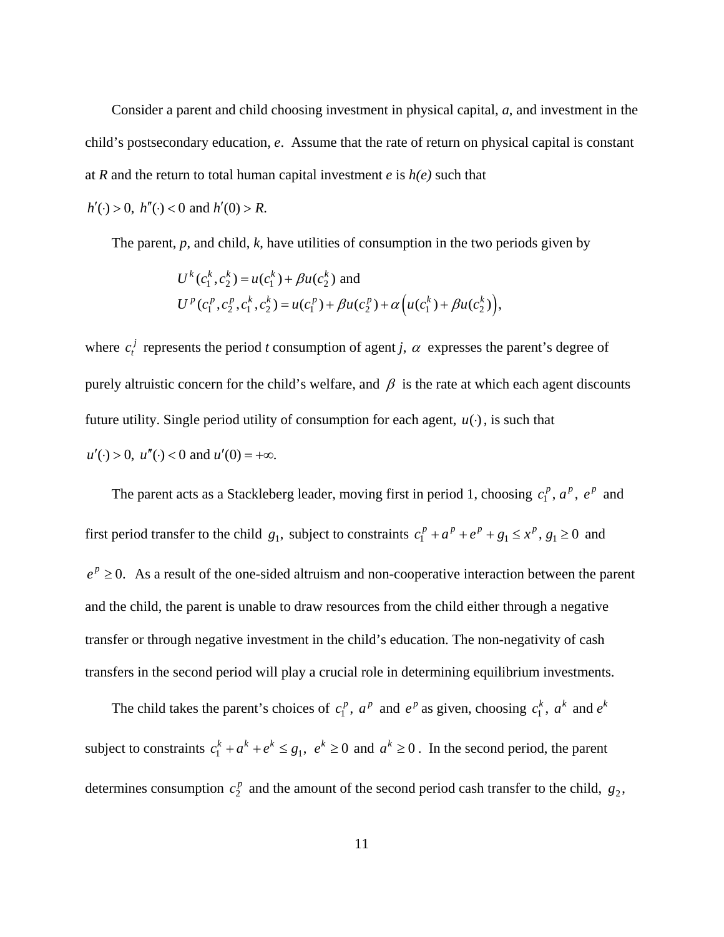Consider a parent and child choosing investment in physical capital, *a*, and investment in the child's postsecondary education, *e*. Assume that the rate of return on physical capital is constant at *R* and the return to total human capital investment *e* is *h(e)* such that

 $h'(\cdot) > 0$ ,  $h''(\cdot) < 0$  and  $h'(0) > R$ .

The parent, *p*, and child, *k*, have utilities of consumption in the two periods given by

$$
U^{k}(c_{1}^{k}, c_{2}^{k}) = u(c_{1}^{k}) + \beta u(c_{2}^{k}) \text{ and}
$$
  
\n
$$
U^{p}(c_{1}^{p}, c_{2}^{p}, c_{1}^{k}, c_{2}^{k}) = u(c_{1}^{p}) + \beta u(c_{2}^{p}) + \alpha \left( u(c_{1}^{k}) + \beta u(c_{2}^{k}) \right),
$$

where  $c_i^j$  represents the period *t* consumption of agent *j*,  $\alpha$  expresses the parent's degree of purely altruistic concern for the child's welfare, and  $\beta$  is the rate at which each agent discounts future utility. Single period utility of consumption for each agent,  $u(·)$ , is such that  $u'(\cdot) > 0$ ,  $u''(\cdot) < 0$  and  $u'(0) = +\infty$ .

The parent acts as a Stackleberg leader, moving first in period 1, choosing  $c_1^p$ ,  $a^p$ ,  $e^p$  and first period transfer to the child  $g_1$ , subject to constraints  $c_1^p + a^p + e^p + g_1 \le x^p$ ,  $g_1 \ge 0$  and  $e^{p} \ge 0$ . As a result of the one-sided altruism and non-cooperative interaction between the parent and the child, the parent is unable to draw resources from the child either through a negative transfer or through negative investment in the child's education. The non-negativity of cash transfers in the second period will play a crucial role in determining equilibrium investments.

The child takes the parent's choices of  $c_1^p$ ,  $a^p$  and  $e^p$  as given, choosing  $c_1^k$ ,  $a^k$  and  $e^k$ subject to constraints  $c_1^k + a^k + e^k \leq g_1$ ,  $e^k \geq 0$  and  $a^k \geq 0$ . In the second period, the parent determines consumption  $c_2^p$  and the amount of the second period cash transfer to the child,  $g_2$ ,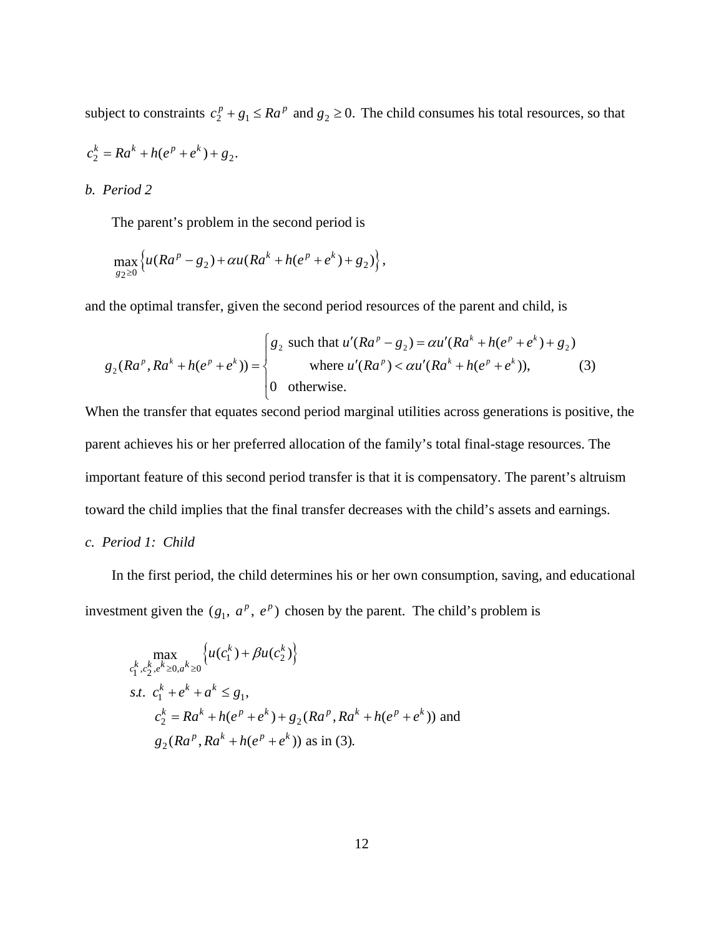subject to constraints  $c_2^p + g_1 \leq Ra^p$  and  $g_2 \geq 0$ . The child consumes his total resources, so that

$$
c_2^k = Ra^k + h(e^p + e^k) + g_2.
$$

## *b. Period 2*

The parent's problem in the second period is

$$
\max_{g_2 \ge 0} \left\{ u(Ra^p - g_2) + \alpha u(Ra^k + h(e^p + e^k) + g_2) \right\},\,
$$

and the optimal transfer, given the second period resources of the parent and child, is

$$
g_2(Ra^p, Ra^k + h(e^p + e^k)) = \begin{cases} g_2 \text{ such that } u'(Ra^p - g_2) = \alpha u'(Ra^k + h(e^p + e^k) + g_2) \\ \text{where } u'(Ra^p) < \alpha u'(Ra^k + h(e^p + e^k)), \end{cases}
$$
 (3)

When the transfer that equates second period marginal utilities across generations is positive, the parent achieves his or her preferred allocation of the family's total final-stage resources. The important feature of this second period transfer is that it is compensatory. The parent's altruism toward the child implies that the final transfer decreases with the child's assets and earnings.

# *c. Period 1: Child*

 In the first period, the child determines his or her own consumption, saving, and educational investment given the  $(g_1, a^p, e^p)$  chosen by the parent. The child's problem is

$$
\max_{c_1^k, c_2^k, e^k \ge 0, a^k \ge 0} \left\{ u(c_1^k) + \beta u(c_2^k) \right\}
$$
  
s.t.  $c_1^k + e^k + a^k \le g_1$ ,  
 $c_2^k = Ra^k + h(e^p + e^k) + g_2(Ra^p, Ra^k + h(e^p + e^k))$  and  
 $g_2(Ra^p, Ra^k + h(e^p + e^k))$  as in (3).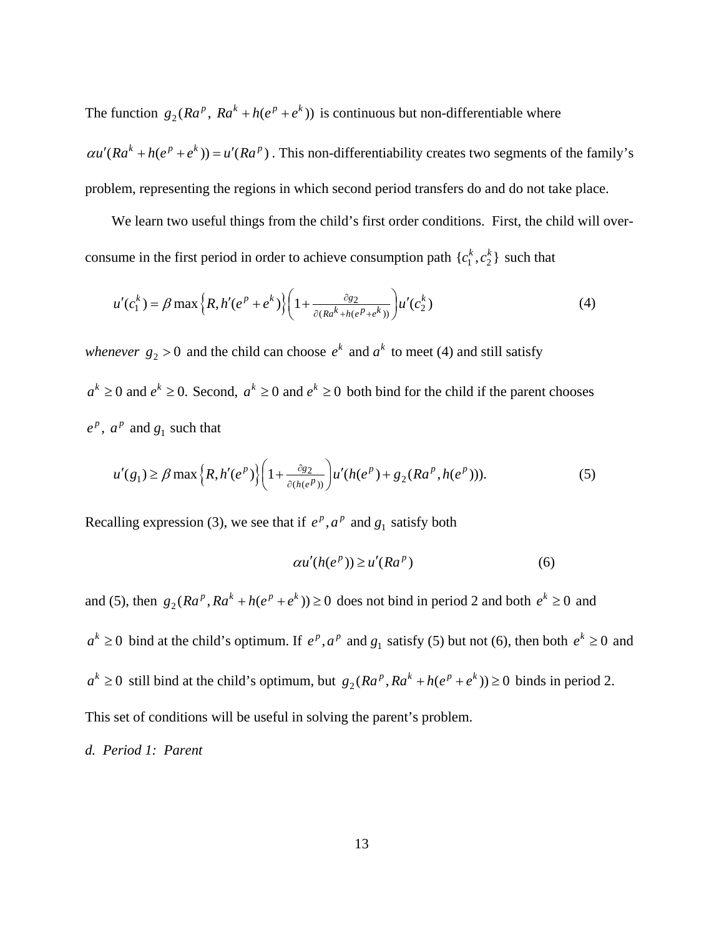The function  $g_2(Ra^p, Ra^k + h(e^p + e^k))$  is continuous but non-differentiable where  $\alpha u'(Ra^k + h(e^p + e^k)) = u'(Ra^p)$ . This non-differentiability creates two segments of the family's problem, representing the regions in which second period transfers do and do not take place.

We learn two useful things from the child's first order conditions. First, the child will overconsume in the first period in order to achieve consumption path  $\{c_1^k, c_2^k\}$  such that

$$
u'(c_1^k) = \beta \max \left\{ R, h'(e^p + e^k) \right\} \left( 1 + \frac{\partial g_2}{\partial (Ra^k + h(e^p + e^k))} \right) u'(c_2^k)
$$
 (4)

*whenever*  $g_2 > 0$  and the child can choose  $e^k$  and  $a^k$  to meet (4) and still satisfy  $a^k \geq 0$  and  $e^k \geq 0$ . Second,  $a^k \geq 0$  and  $e^k \geq 0$  both bind for the child if the parent chooses  $e^p$ ,  $a^p$  and  $g_1$  such that

$$
u'(g_1) \ge \beta \max \left\{ R, h'(e^p) \right\} \left( 1 + \frac{\partial g_2}{\partial (h(e^p))} \right) u'(h(e^p) + g_2(Ra^p, h(e^p))). \tag{5}
$$

Recalling expression (3), we see that if  $e^p$ ,  $a^p$  and  $g_1$  satisfy both

$$
\alpha u'(h(e^p)) \ge u'(Ra^p) \tag{6}
$$

and (5), then  $g_2(Ra^p, Ra^k + h(e^p + e^k)) \ge 0$  does not bind in period 2 and both  $e^k \ge 0$  and  $a^k \geq 0$  bind at the child's optimum. If  $e^p$ ,  $a^p$  and  $g_1$  satisfy (5) but not (6), then both  $e^k \geq 0$  and  $a^k \geq 0$  still bind at the child's optimum, but  $g_2(Ra^p, Ra^k + h(e^p + e^k)) \geq 0$  binds in period 2. This set of conditions will be useful in solving the parent's problem.

*d. Period 1: Parent*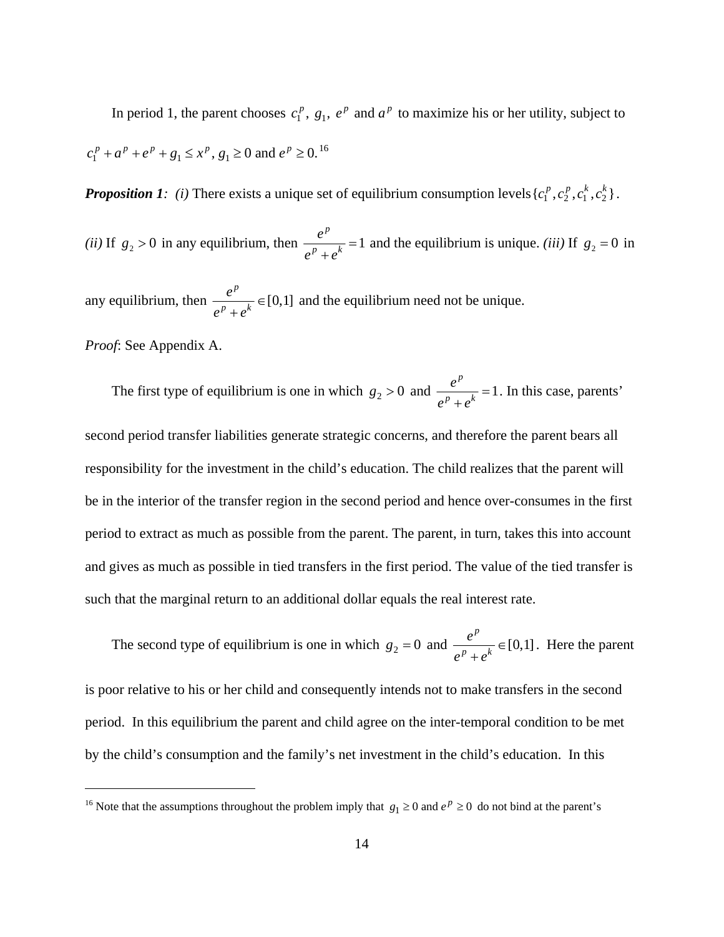In period 1, the parent chooses  $c_1^p$ ,  $g_1$ ,  $e^p$  and  $a^p$  to maximize his or her utility, subject to  $c_1^p + a^p + e^p + g_1 \le x^p$ ,  $g_1 \ge 0$  and  $e^p \ge 0$ . <sup>16</sup>

*Proposition 1: (i)* There exists a unique set of equilibrium consumption levels  $\{c_1^p, c_2^p, c_1^k, c_2^k\}$ .

*(ii)* If  $g_2 > 0$  in any equilibrium, then  $\frac{e}{\sqrt{2\pi}} = 1$ *p*  $p \rightarrow k$  $\frac{e^p}{e^p + e^k} = 1$  and the equilibrium is unique. *(iii)* If  $g_2 = 0$  in

any equilibrium, then  $\frac{c}{\sqrt{2}} \in [0,1]$ *p*  $p \rightarrow k$ *e*  $e^p + e$ ∈ + and the equilibrium need not be unique.

*Proof*: See Appendix A.

1

The first type of equilibrium is one in which  $g_2 > 0$  and  $\frac{e}{\sqrt{2}} = 1$ *p*  $p \rightarrow k$  $\frac{e^p}{e^p + e^k} = 1$ . In this case, parents'

second period transfer liabilities generate strategic concerns, and therefore the parent bears all responsibility for the investment in the child's education. The child realizes that the parent will be in the interior of the transfer region in the second period and hence over-consumes in the first period to extract as much as possible from the parent. The parent, in turn, takes this into account and gives as much as possible in tied transfers in the first period. The value of the tied transfer is such that the marginal return to an additional dollar equals the real interest rate.

The second type of equilibrium is one in which  $g_2 = 0$  and  $\frac{e}{g_1 - k} \in [0,1]$ *p*  $p \rightarrow k$ *e*  $e^p + e$ ∈ + . Here the parent is poor relative to his or her child and consequently intends not to make transfers in the second period. In this equilibrium the parent and child agree on the inter-temporal condition to be met by the child's consumption and the family's net investment in the child's education. In this

<sup>&</sup>lt;sup>16</sup> Note that the assumptions throughout the problem imply that  $g_1 \ge 0$  and  $e^p \ge 0$  do not bind at the parent's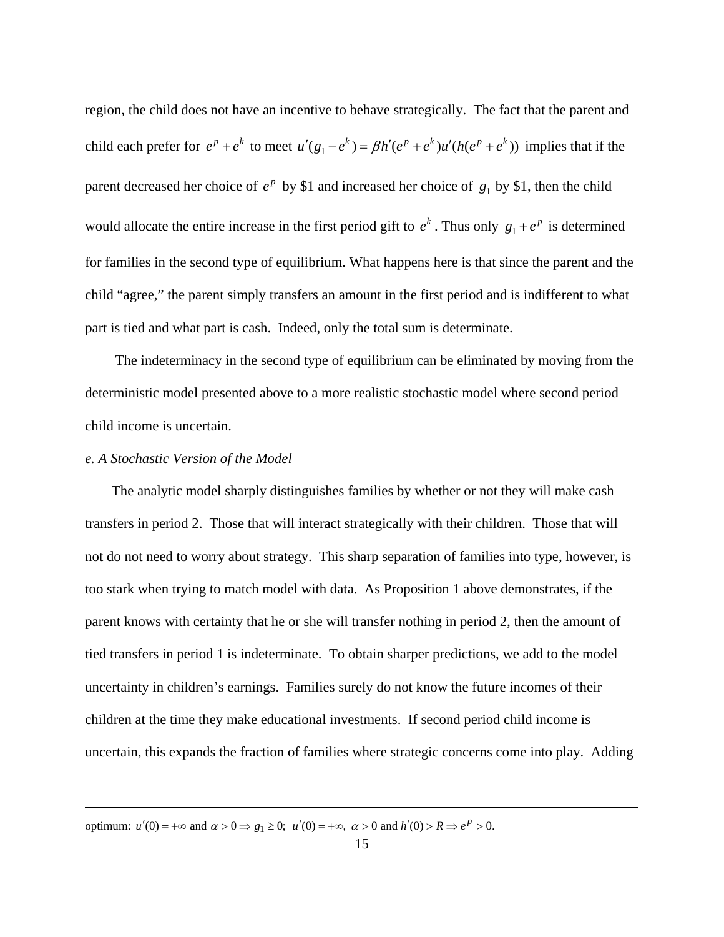region, the child does not have an incentive to behave strategically. The fact that the parent and child each prefer for  $e^p + e^k$  to meet  $u'(g_1 - e^k) = \beta h'(e^p + e^k)u'(h(e^p + e^k))$  implies that if the parent decreased her choice of  $e^p$  by \$1 and increased her choice of  $g_1$  by \$1, then the child would allocate the entire increase in the first period gift to  $e^k$ . Thus only  $g_1 + e^p$  is determined for families in the second type of equilibrium. What happens here is that since the parent and the child "agree," the parent simply transfers an amount in the first period and is indifferent to what part is tied and what part is cash. Indeed, only the total sum is determinate.

 The indeterminacy in the second type of equilibrium can be eliminated by moving from the deterministic model presented above to a more realistic stochastic model where second period child income is uncertain.

#### *e. A Stochastic Version of the Model*

 $\overline{a}$ 

 The analytic model sharply distinguishes families by whether or not they will make cash transfers in period 2. Those that will interact strategically with their children. Those that will not do not need to worry about strategy. This sharp separation of families into type, however, is too stark when trying to match model with data. As Proposition 1 above demonstrates, if the parent knows with certainty that he or she will transfer nothing in period 2, then the amount of tied transfers in period 1 is indeterminate. To obtain sharper predictions, we add to the model uncertainty in children's earnings. Families surely do not know the future incomes of their children at the time they make educational investments. If second period child income is uncertain, this expands the fraction of families where strategic concerns come into play. Adding

optimum:  $u'(0) = +\infty$  and  $\alpha > 0 \Rightarrow g_1 \ge 0$ ;  $u'(0) = +\infty$ ,  $\alpha > 0$  and  $h'(0) > R \Rightarrow e^p > 0$ .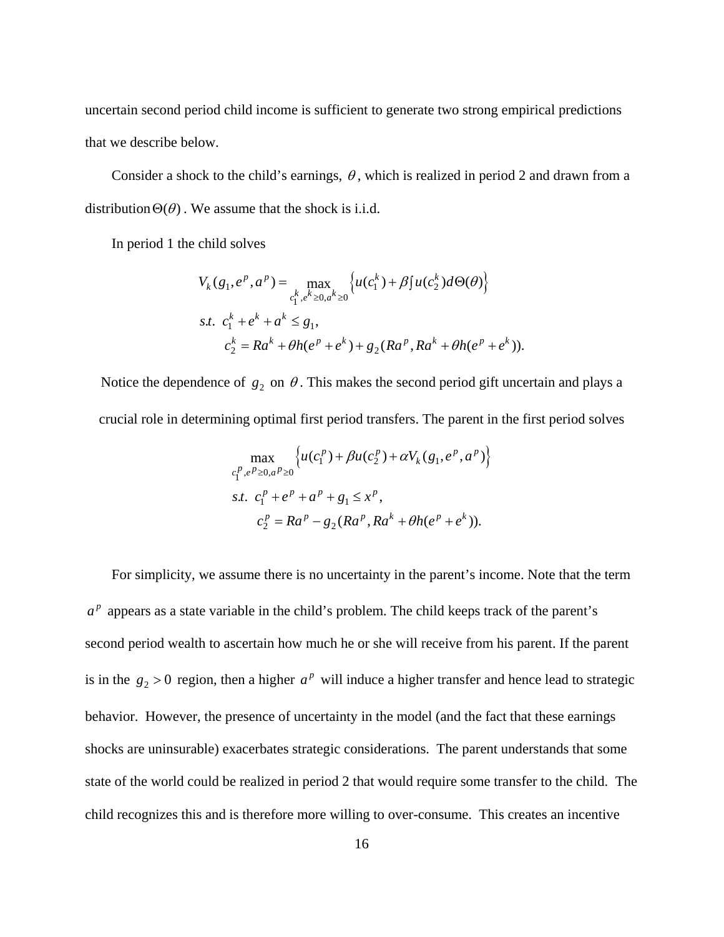uncertain second period child income is sufficient to generate two strong empirical predictions that we describe below.

Consider a shock to the child's earnings,  $\theta$ , which is realized in period 2 and drawn from a distribution  $\Theta(\theta)$ . We assume that the shock is i.i.d.

In period 1 the child solves

$$
V_k(g_1, e^p, a^p) = \max_{c_1^k, e^k \ge 0, a^k \ge 0} \left\{ u(c_1^k) + \beta \int u(c_2^k) d\Theta(\theta) \right\}
$$
  
s.t.  $c_1^k + e^k + a^k \le g_1$ ,  
 $c_2^k = Ra^k + \theta h(e^p + e^k) + g_2(Ra^p, Ra^k + \theta h(e^p + e^k))$ .

Notice the dependence of  $g_2$  on  $\theta$ . This makes the second period gift uncertain and plays a crucial role in determining optimal first period transfers. The parent in the first period solves

$$
\max_{c_1^p, e^p \ge 0, a^p \ge 0} \left\{ u(c_1^p) + \beta u(c_2^p) + \alpha V_k(g_1, e^p, a^p) \right\}
$$
  
s.t.  $c_1^p + e^p + a^p + g_1 \le x^p$ ,  
 $c_2^p = Ra^p - g_2(Ra^p, Ra^k + \theta h(e^p + e^k))$ .

 For simplicity, we assume there is no uncertainty in the parent's income. Note that the term  $a<sup>p</sup>$  appears as a state variable in the child's problem. The child keeps track of the parent's second period wealth to ascertain how much he or she will receive from his parent. If the parent is in the  $g_2 > 0$  region, then a higher  $a^p$  will induce a higher transfer and hence lead to strategic behavior. However, the presence of uncertainty in the model (and the fact that these earnings shocks are uninsurable) exacerbates strategic considerations. The parent understands that some state of the world could be realized in period 2 that would require some transfer to the child. The child recognizes this and is therefore more willing to over-consume. This creates an incentive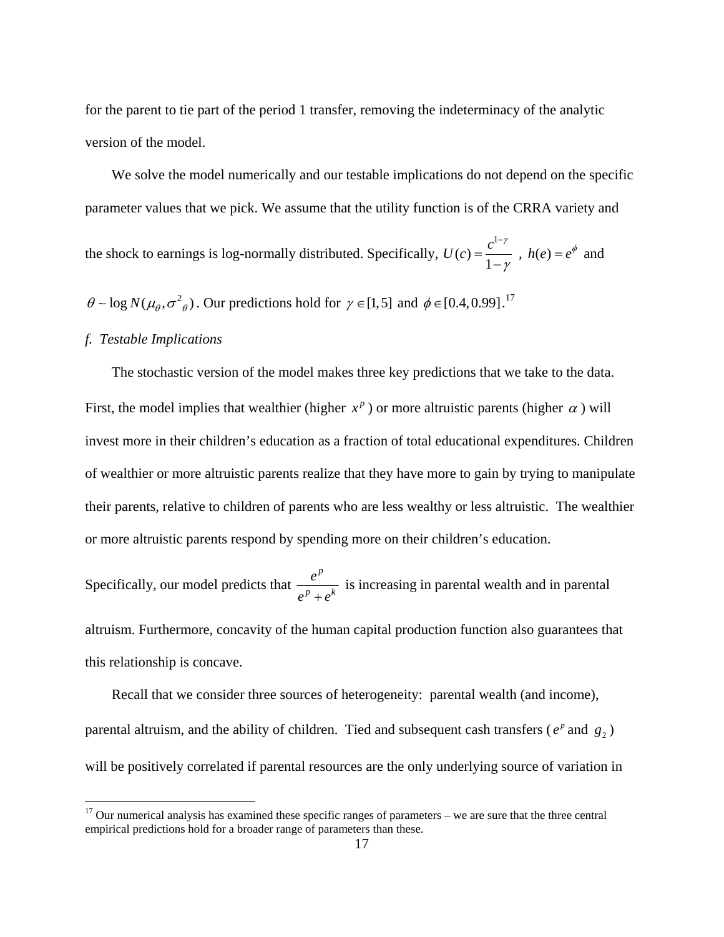for the parent to tie part of the period 1 transfer, removing the indeterminacy of the analytic version of the model.

 We solve the model numerically and our testable implications do not depend on the specific parameter values that we pick. We assume that the utility function is of the CRRA variety and

the shock to earnings is log-normally distributed. Specifically, 1  $U(c) = \frac{c^{1-\gamma}}{1-\gamma}$ γ −  $=\frac{c}{1-\gamma}$ ,  $h(e) = e^{\phi}$  and

 $\theta \sim \log N(\mu_\theta, \sigma^2)$ . Our predictions hold for  $\gamma \in [1,5]$  and  $\phi \in [0.4,0.99]$ .<sup>17</sup>

### *f. Testable Implications*

 $\overline{a}$ 

 The stochastic version of the model makes three key predictions that we take to the data. First, the model implies that wealthier (higher  $x^p$ ) or more altruistic parents (higher  $\alpha$ ) will invest more in their children's education as a fraction of total educational expenditures. Children of wealthier or more altruistic parents realize that they have more to gain by trying to manipulate their parents, relative to children of parents who are less wealthy or less altruistic. The wealthier or more altruistic parents respond by spending more on their children's education.

Specifically, our model predicts that *p*  $p \rightarrow k$ *e*  $e^p + e$ is increasing in parental wealth and in parental

altruism. Furthermore, concavity of the human capital production function also guarantees that this relationship is concave.

 Recall that we consider three sources of heterogeneity: parental wealth (and income), parental altruism, and the ability of children. Tied and subsequent cash transfers ( $e^p$  and  $g_2$ ) will be positively correlated if parental resources are the only underlying source of variation in

 $17$  Our numerical analysis has examined these specific ranges of parameters – we are sure that the three central empirical predictions hold for a broader range of parameters than these.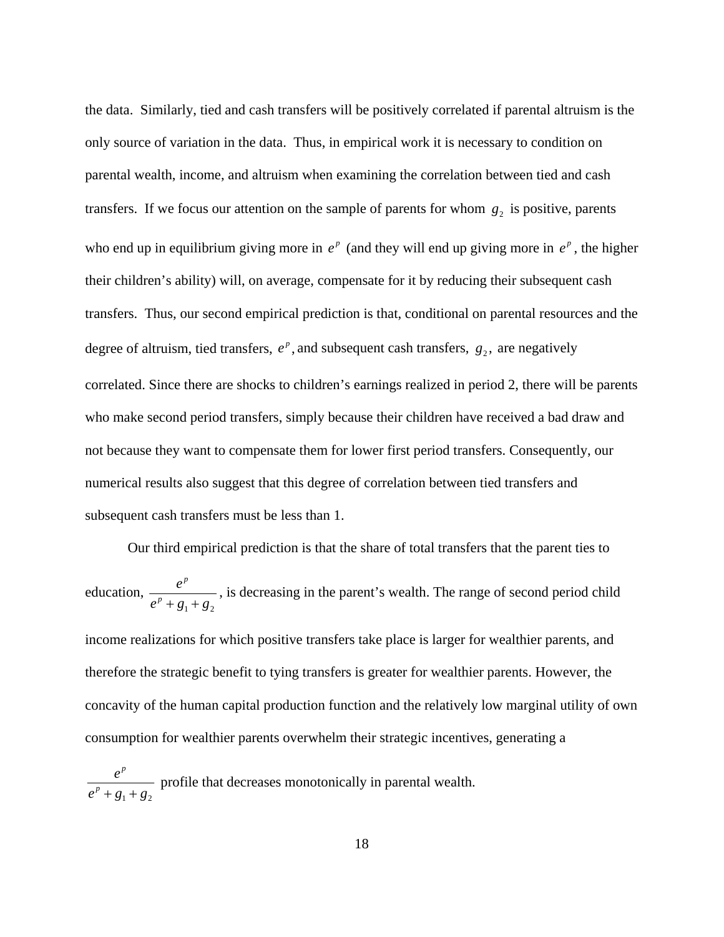the data. Similarly, tied and cash transfers will be positively correlated if parental altruism is the only source of variation in the data. Thus, in empirical work it is necessary to condition on parental wealth, income, and altruism when examining the correlation between tied and cash transfers. If we focus our attention on the sample of parents for whom  $g_2$  is positive, parents who end up in equilibrium giving more in  $e^p$  (and they will end up giving more in  $e^p$ , the higher their children's ability) will, on average, compensate for it by reducing their subsequent cash transfers. Thus, our second empirical prediction is that, conditional on parental resources and the degree of altruism, tied transfers,  $e^p$ , and subsequent cash transfers,  $g_2$ , are negatively correlated. Since there are shocks to children's earnings realized in period 2, there will be parents who make second period transfers, simply because their children have received a bad draw and not because they want to compensate them for lower first period transfers. Consequently, our numerical results also suggest that this degree of correlation between tied transfers and subsequent cash transfers must be less than 1.

 Our third empirical prediction is that the share of total transfers that the parent ties to education,  $1^{+}$   $52$ *p p e*  $e^p + g_1 + g_2$ , is decreasing in the parent's wealth. The range of second period child income realizations for which positive transfers take place is larger for wealthier parents, and therefore the strategic benefit to tying transfers is greater for wealthier parents. However, the concavity of the human capital production function and the relatively low marginal utility of own consumption for wealthier parents overwhelm their strategic incentives, generating a

 $1 \tcdot 52$ *p p e*  $e^p + g_1 + g_2$ profile that decreases monotonically in parental wealth.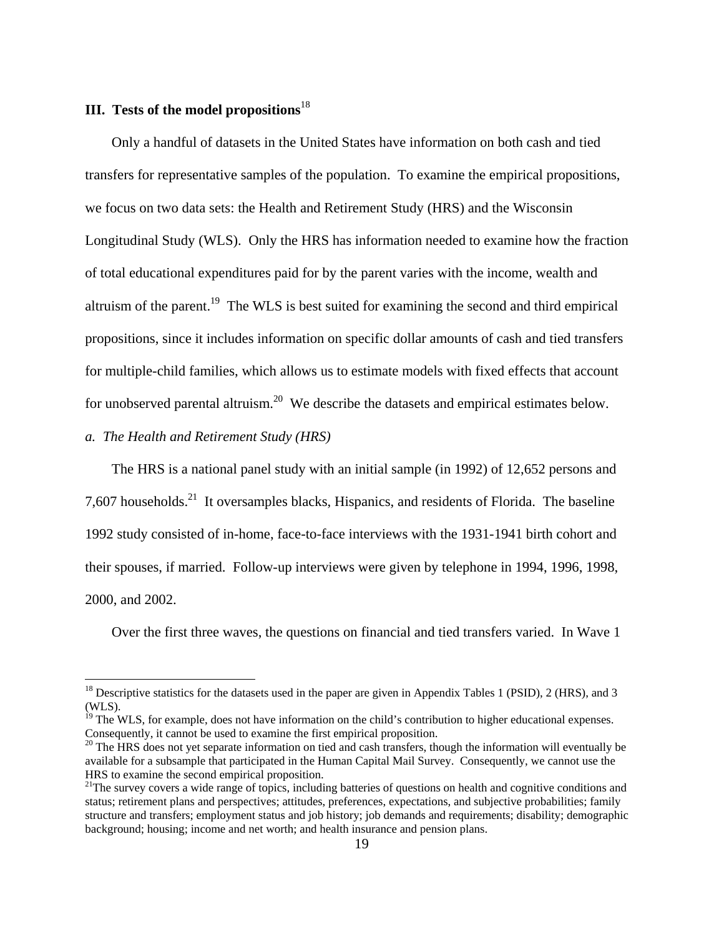# **III. Tests of the model propositions**<sup>18</sup>

 Only a handful of datasets in the United States have information on both cash and tied transfers for representative samples of the population. To examine the empirical propositions, we focus on two data sets: the Health and Retirement Study (HRS) and the Wisconsin Longitudinal Study (WLS). Only the HRS has information needed to examine how the fraction of total educational expenditures paid for by the parent varies with the income, wealth and altruism of the parent.<sup>19</sup> The WLS is best suited for examining the second and third empirical propositions, since it includes information on specific dollar amounts of cash and tied transfers for multiple-child families, which allows us to estimate models with fixed effects that account for unobserved parental altruism.<sup>20</sup> We describe the datasets and empirical estimates below.

## *a. The Health and Retirement Study (HRS)*

1

 The HRS is a national panel study with an initial sample (in 1992) of 12,652 persons and 7,607 households.<sup>21</sup> It oversamples blacks, Hispanics, and residents of Florida. The baseline 1992 study consisted of in-home, face-to-face interviews with the 1931-1941 birth cohort and their spouses, if married. Follow-up interviews were given by telephone in 1994, 1996, 1998, 2000, and 2002.

Over the first three waves, the questions on financial and tied transfers varied. In Wave 1

 $^{18}$  Descriptive statistics for the datasets used in the paper are given in Appendix Tables 1 (PSID), 2 (HRS), and 3 (WLS).

 $19$  The WLS, for example, does not have information on the child's contribution to higher educational expenses. Consequently, it cannot be used to examine the first empirical proposition. Consequently, it cannot be used to examine the first empirical proposition.<br><sup>20</sup> The HRS does not yet separate information on tied and cash transfers, though the information will eventually be

available for a subsample that participated in the Human Capital Mail Survey. Consequently, we cannot use the HRS to examine the second empirical proposition.

<sup>&</sup>lt;sup>21</sup>The survey covers a wide range of topics, including batteries of questions on health and cognitive conditions and status; retirement plans and perspectives; attitudes, preferences, expectations, and subjective probabilities; family structure and transfers; employment status and job history; job demands and requirements; disability; demographic background; housing; income and net worth; and health insurance and pension plans.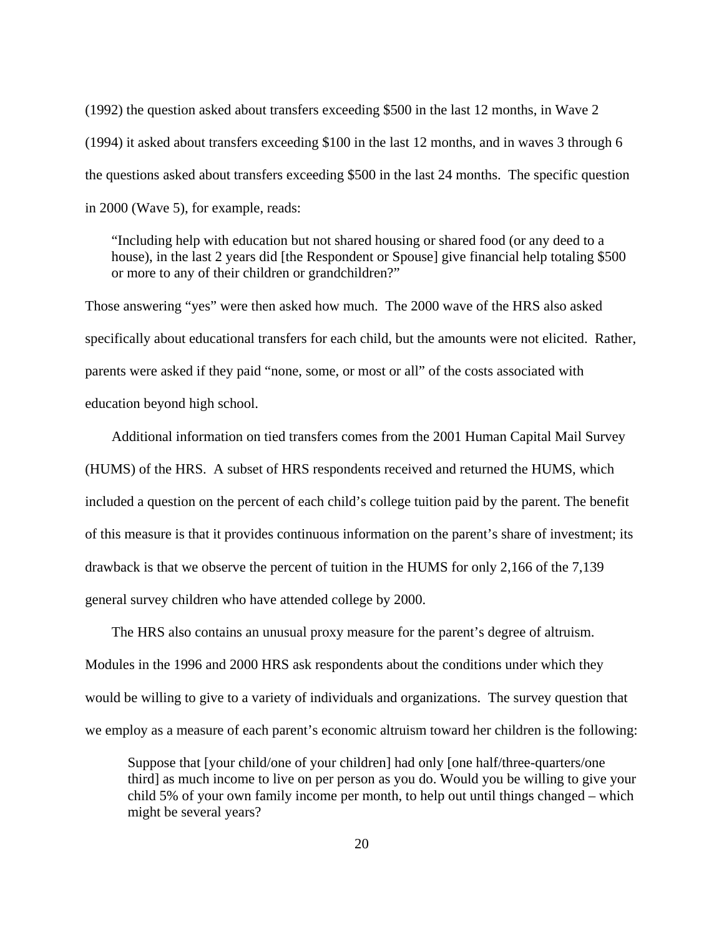(1992) the question asked about transfers exceeding \$500 in the last 12 months, in Wave 2 (1994) it asked about transfers exceeding \$100 in the last 12 months, and in waves 3 through 6 the questions asked about transfers exceeding \$500 in the last 24 months. The specific question in 2000 (Wave 5), for example, reads:

"Including help with education but not shared housing or shared food (or any deed to a house), in the last 2 years did [the Respondent or Spouse] give financial help totaling \$500 or more to any of their children or grandchildren?"

Those answering "yes" were then asked how much. The 2000 wave of the HRS also asked specifically about educational transfers for each child, but the amounts were not elicited. Rather, parents were asked if they paid "none, some, or most or all" of the costs associated with education beyond high school.

 Additional information on tied transfers comes from the 2001 Human Capital Mail Survey (HUMS) of the HRS. A subset of HRS respondents received and returned the HUMS, which included a question on the percent of each child's college tuition paid by the parent. The benefit of this measure is that it provides continuous information on the parent's share of investment; its drawback is that we observe the percent of tuition in the HUMS for only 2,166 of the 7,139 general survey children who have attended college by 2000.

 The HRS also contains an unusual proxy measure for the parent's degree of altruism. Modules in the 1996 and 2000 HRS ask respondents about the conditions under which they would be willing to give to a variety of individuals and organizations. The survey question that we employ as a measure of each parent's economic altruism toward her children is the following:

Suppose that [your child/one of your children] had only [one half/three-quarters/one third] as much income to live on per person as you do. Would you be willing to give your child 5% of your own family income per month, to help out until things changed – which might be several years?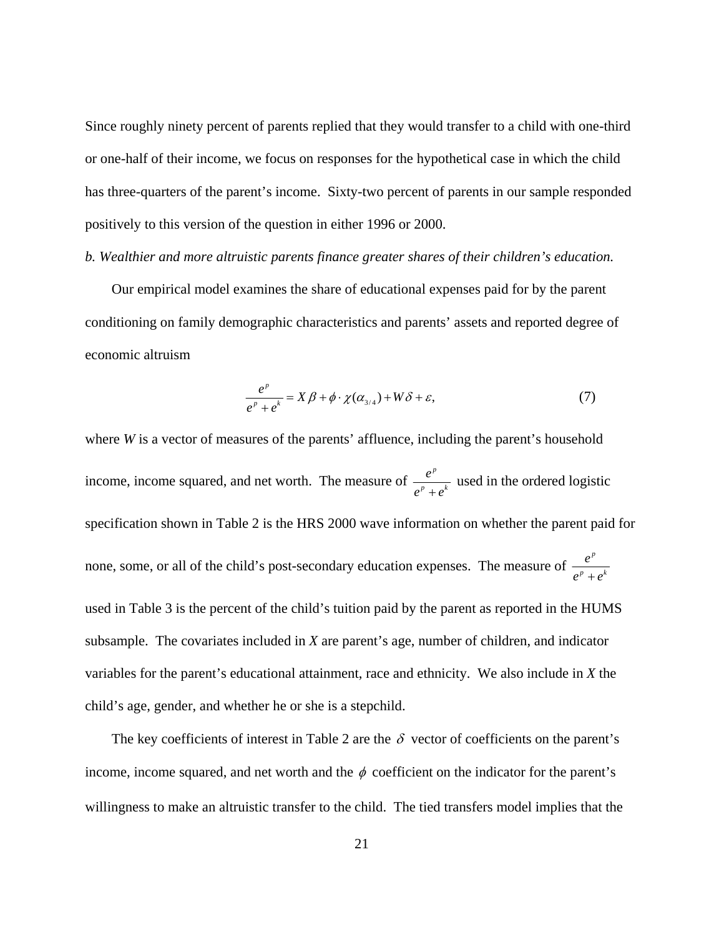Since roughly ninety percent of parents replied that they would transfer to a child with one-third or one-half of their income, we focus on responses for the hypothetical case in which the child has three-quarters of the parent's income. Sixty-two percent of parents in our sample responded positively to this version of the question in either 1996 or 2000.

#### *b. Wealthier and more altruistic parents finance greater shares of their children's education.*

 Our empirical model examines the share of educational expenses paid for by the parent conditioning on family demographic characteristics and parents' assets and reported degree of economic altruism

$$
\frac{e^{p}}{e^{p}+e^{k}} = X \beta + \phi \cdot \chi(\alpha_{3/4}) + W \delta + \varepsilon,
$$
\n(7)

where *W* is a vector of measures of the parents' affluence, including the parent's household income, income squared, and net worth. The measure of  $\frac{e^p}{e^p + e^k}$ *e*  $e^p + e$  used in the ordered logistic specification shown in Table 2 is the HRS 2000 wave information on whether the parent paid for none, some, or all of the child's post-secondary education expenses. The measure of  $\frac{e^p}{e^p + e^k}$ *e*  $e^p + e$ used in Table 3 is the percent of the child's tuition paid by the parent as reported in the HUMS subsample. The covariates included in *X* are parent's age, number of children, and indicator variables for the parent's educational attainment, race and ethnicity. We also include in *X* the child's age, gender, and whether he or she is a stepchild.

The key coefficients of interest in Table 2 are the  $\delta$  vector of coefficients on the parent's income, income squared, and net worth and the  $\phi$  coefficient on the indicator for the parent's willingness to make an altruistic transfer to the child. The tied transfers model implies that the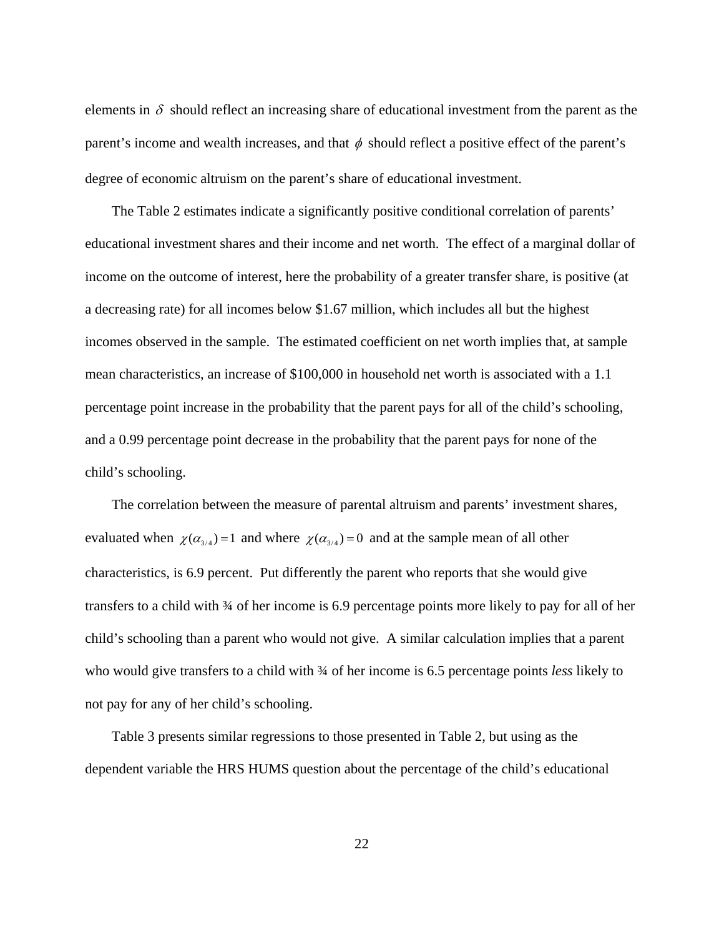elements in  $\delta$  should reflect an increasing share of educational investment from the parent as the parent's income and wealth increases, and that  $\phi$  should reflect a positive effect of the parent's degree of economic altruism on the parent's share of educational investment.

 The Table 2 estimates indicate a significantly positive conditional correlation of parents' educational investment shares and their income and net worth. The effect of a marginal dollar of income on the outcome of interest, here the probability of a greater transfer share, is positive (at a decreasing rate) for all incomes below \$1.67 million, which includes all but the highest incomes observed in the sample. The estimated coefficient on net worth implies that, at sample mean characteristics, an increase of \$100,000 in household net worth is associated with a 1.1 percentage point increase in the probability that the parent pays for all of the child's schooling, and a 0.99 percentage point decrease in the probability that the parent pays for none of the child's schooling.

 The correlation between the measure of parental altruism and parents' investment shares, evaluated when  $\chi(\alpha_{3/4})=1$  and where  $\chi(\alpha_{3/4})=0$  and at the sample mean of all other characteristics, is 6.9 percent. Put differently the parent who reports that she would give transfers to a child with ¾ of her income is 6.9 percentage points more likely to pay for all of her child's schooling than a parent who would not give. A similar calculation implies that a parent who would give transfers to a child with ¾ of her income is 6.5 percentage points *less* likely to not pay for any of her child's schooling.

 Table 3 presents similar regressions to those presented in Table 2, but using as the dependent variable the HRS HUMS question about the percentage of the child's educational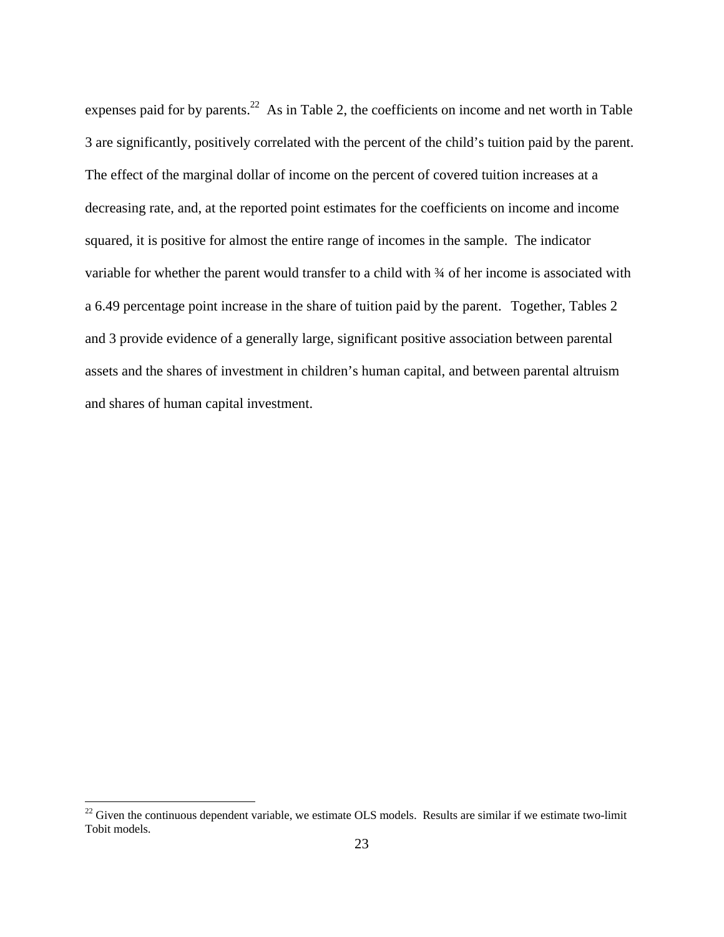expenses paid for by parents.<sup>22</sup> As in Table 2, the coefficients on income and net worth in Table 3 are significantly, positively correlated with the percent of the child's tuition paid by the parent. The effect of the marginal dollar of income on the percent of covered tuition increases at a decreasing rate, and, at the reported point estimates for the coefficients on income and income squared, it is positive for almost the entire range of incomes in the sample. The indicator variable for whether the parent would transfer to a child with  $\frac{3}{4}$  of her income is associated with a 6.49 percentage point increase in the share of tuition paid by the parent. Together, Tables 2 and 3 provide evidence of a generally large, significant positive association between parental assets and the shares of investment in children's human capital, and between parental altruism and shares of human capital investment.

1

 $22$  Given the continuous dependent variable, we estimate OLS models. Results are similar if we estimate two-limit Tobit models.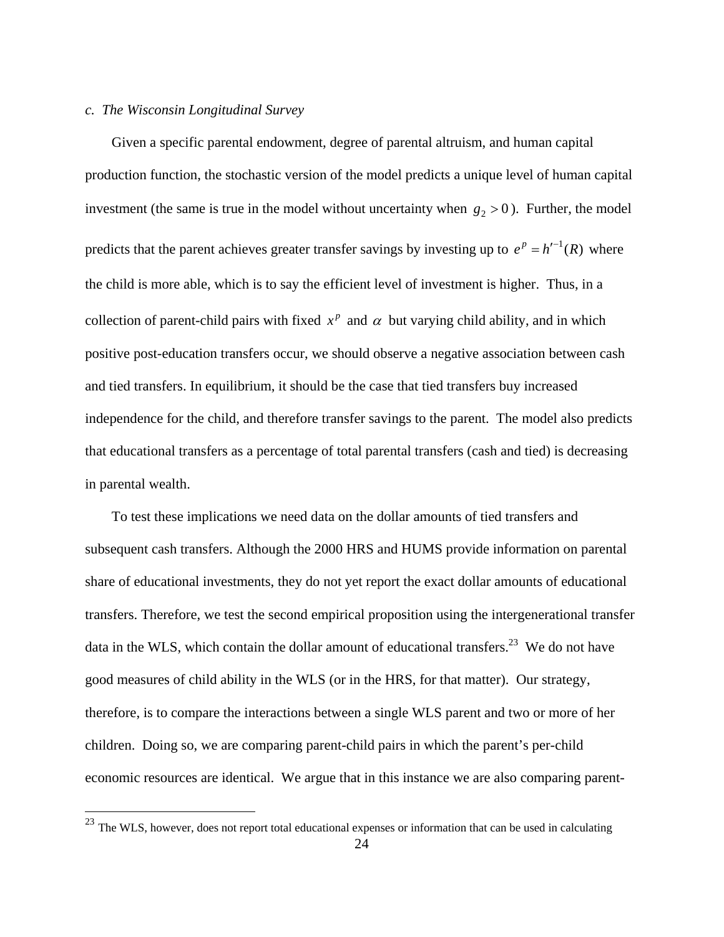## *c. The Wisconsin Longitudinal Survey*

 $\overline{a}$ 

Given a specific parental endowment, degree of parental altruism, and human capital production function, the stochastic version of the model predicts a unique level of human capital investment (the same is true in the model without uncertainty when  $g_2 > 0$ ). Further, the model predicts that the parent achieves greater transfer savings by investing up to  $e^p = h^{-1}(R)$  where the child is more able, which is to say the efficient level of investment is higher. Thus, in a collection of parent-child pairs with fixed  $x^p$  and  $\alpha$  but varying child ability, and in which positive post-education transfers occur, we should observe a negative association between cash and tied transfers. In equilibrium, it should be the case that tied transfers buy increased independence for the child, and therefore transfer savings to the parent. The model also predicts that educational transfers as a percentage of total parental transfers (cash and tied) is decreasing in parental wealth.

 To test these implications we need data on the dollar amounts of tied transfers and subsequent cash transfers. Although the 2000 HRS and HUMS provide information on parental share of educational investments, they do not yet report the exact dollar amounts of educational transfers. Therefore, we test the second empirical proposition using the intergenerational transfer data in the WLS, which contain the dollar amount of educational transfers.<sup>23</sup> We do not have good measures of child ability in the WLS (or in the HRS, for that matter). Our strategy, therefore, is to compare the interactions between a single WLS parent and two or more of her children. Doing so, we are comparing parent-child pairs in which the parent's per-child economic resources are identical. We argue that in this instance we are also comparing parent-

 <sup>24</sup>   $^{23}$  The WLS, however, does not report total educational expenses or information that can be used in calculating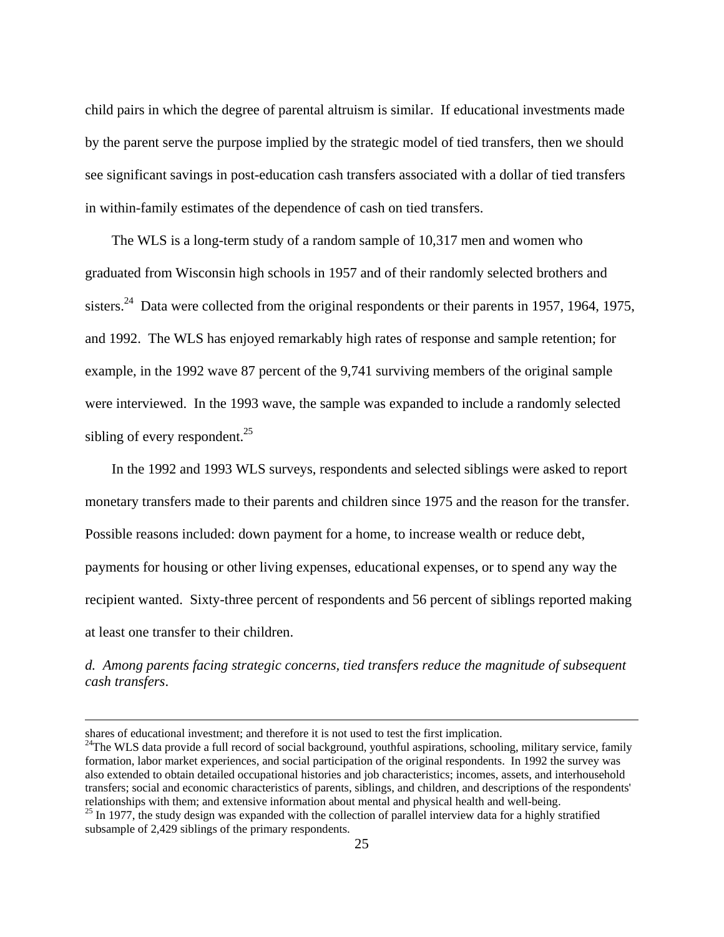child pairs in which the degree of parental altruism is similar. If educational investments made by the parent serve the purpose implied by the strategic model of tied transfers, then we should see significant savings in post-education cash transfers associated with a dollar of tied transfers in within-family estimates of the dependence of cash on tied transfers.

 The WLS is a long-term study of a random sample of 10,317 men and women who graduated from Wisconsin high schools in 1957 and of their randomly selected brothers and sisters.<sup>24</sup> Data were collected from the original respondents or their parents in 1957, 1964, 1975, and 1992. The WLS has enjoyed remarkably high rates of response and sample retention; for example, in the 1992 wave 87 percent of the 9,741 surviving members of the original sample were interviewed. In the 1993 wave, the sample was expanded to include a randomly selected sibling of every respondent.<sup>25</sup>

 In the 1992 and 1993 WLS surveys, respondents and selected siblings were asked to report monetary transfers made to their parents and children since 1975 and the reason for the transfer. Possible reasons included: down payment for a home, to increase wealth or reduce debt, payments for housing or other living expenses, educational expenses, or to spend any way the recipient wanted. Sixty-three percent of respondents and 56 percent of siblings reported making at least one transfer to their children.

*d. Among parents facing strategic concerns, tied transfers reduce the magnitude of subsequent cash transfers*.

shares of educational investment; and therefore it is not used to test the first implication.<br><sup>24</sup>The WLS data provide a full record of social background, youthful aspirations, schooling, military service, family formation, labor market experiences, and social participation of the original respondents. In 1992 the survey was also extended to obtain detailed occupational histories and job characteristics; incomes, assets, and interhousehold transfers; social and economic characteristics of parents, siblings, and children, and descriptions of the respondents' relationships with them; and extensive information about mental and physical health and well-being.  $^{25}$  In 1977, the study design was expanded with the collection of parallel interview data for a highly stratified

subsample of 2,429 siblings of the primary respondents.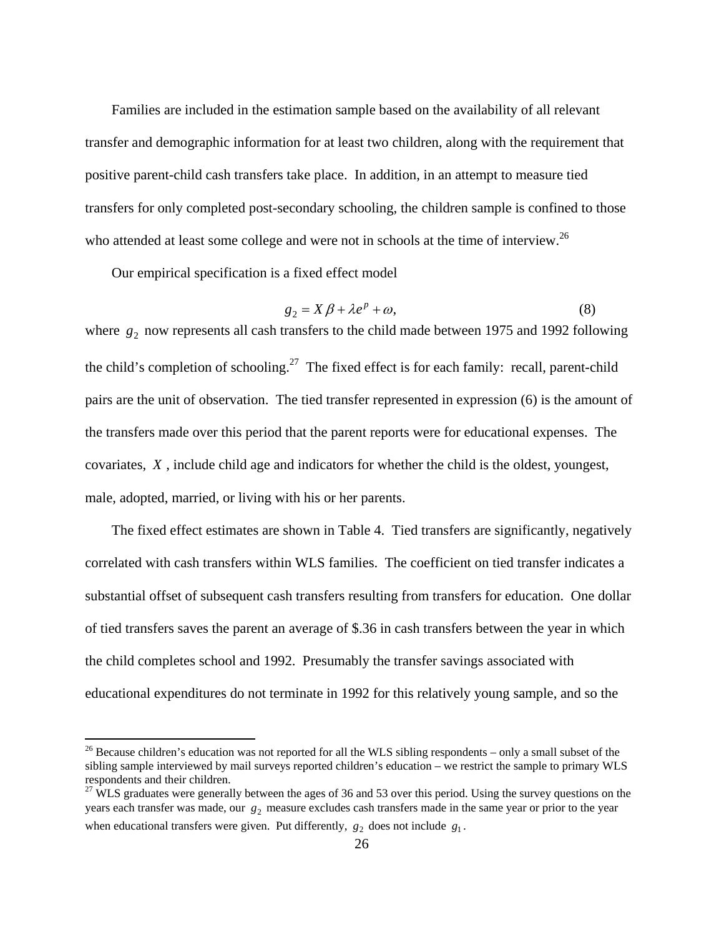Families are included in the estimation sample based on the availability of all relevant transfer and demographic information for at least two children, along with the requirement that positive parent-child cash transfers take place. In addition, in an attempt to measure tied transfers for only completed post-secondary schooling, the children sample is confined to those who attended at least some college and were not in schools at the time of interview.<sup>26</sup>

Our empirical specification is a fixed effect model

1

$$
g_2 = X\beta + \lambda e^p + \omega,\tag{8}
$$

where  $g_2$  now represents all cash transfers to the child made between 1975 and 1992 following the child's completion of schooling.<sup>27</sup> The fixed effect is for each family: recall, parent-child pairs are the unit of observation. The tied transfer represented in expression (6) is the amount of the transfers made over this period that the parent reports were for educational expenses. The covariates, *X* , include child age and indicators for whether the child is the oldest, youngest, male, adopted, married, or living with his or her parents.

 The fixed effect estimates are shown in Table 4. Tied transfers are significantly, negatively correlated with cash transfers within WLS families. The coefficient on tied transfer indicates a substantial offset of subsequent cash transfers resulting from transfers for education. One dollar of tied transfers saves the parent an average of \$.36 in cash transfers between the year in which the child completes school and 1992. Presumably the transfer savings associated with educational expenditures do not terminate in 1992 for this relatively young sample, and so the

 $26$  Because children's education was not reported for all the WLS sibling respondents – only a small subset of the sibling sample interviewed by mail surveys reported children's education – we restrict the sample to primary WLS respondents and their children.

<sup>&</sup>lt;sup>27</sup> WLS graduates were generally between the ages of 36 and 53 over this period. Using the survey questions on the years each transfer was made, our  $g_2$  measure excludes cash transfers made in the same year or prior to the year when educational transfers were given. Put differently,  $g_2$  does not include  $g_1$ .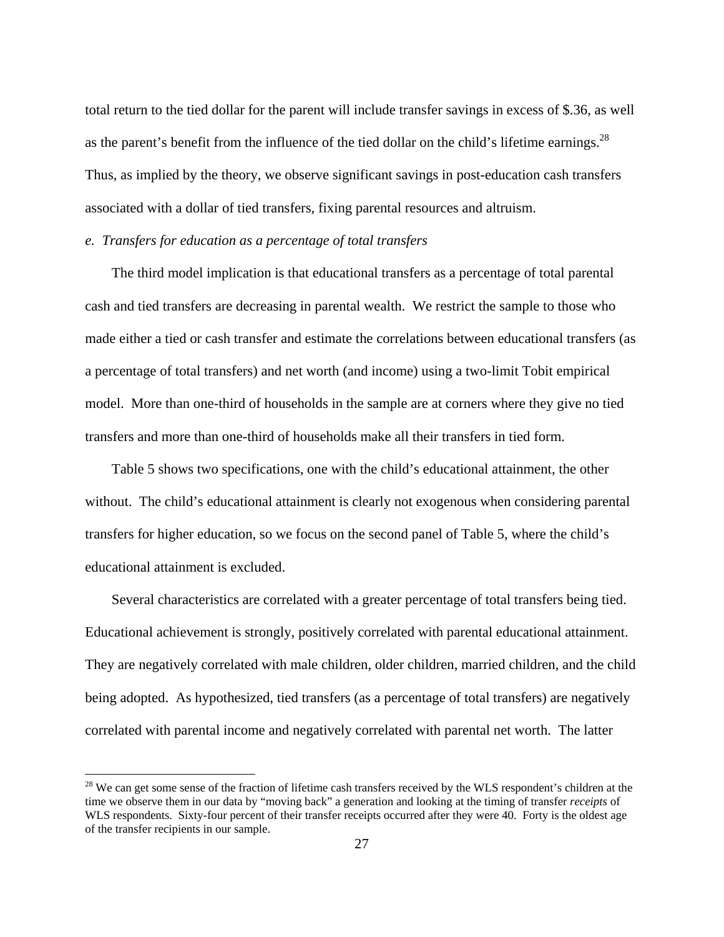total return to the tied dollar for the parent will include transfer savings in excess of \$.36, as well as the parent's benefit from the influence of the tied dollar on the child's lifetime earnings.<sup>28</sup> Thus, as implied by the theory, we observe significant savings in post-education cash transfers associated with a dollar of tied transfers, fixing parental resources and altruism.

## *e. Transfers for education as a percentage of total transfers*

 $\overline{a}$ 

 The third model implication is that educational transfers as a percentage of total parental cash and tied transfers are decreasing in parental wealth. We restrict the sample to those who made either a tied or cash transfer and estimate the correlations between educational transfers (as a percentage of total transfers) and net worth (and income) using a two-limit Tobit empirical model. More than one-third of households in the sample are at corners where they give no tied transfers and more than one-third of households make all their transfers in tied form.

 Table 5 shows two specifications, one with the child's educational attainment, the other without. The child's educational attainment is clearly not exogenous when considering parental transfers for higher education, so we focus on the second panel of Table 5, where the child's educational attainment is excluded.

 Several characteristics are correlated with a greater percentage of total transfers being tied. Educational achievement is strongly, positively correlated with parental educational attainment. They are negatively correlated with male children, older children, married children, and the child being adopted. As hypothesized, tied transfers (as a percentage of total transfers) are negatively correlated with parental income and negatively correlated with parental net worth. The latter

 $28$  We can get some sense of the fraction of lifetime cash transfers received by the WLS respondent's children at the time we observe them in our data by "moving back" a generation and looking at the timing of transfer *receipts* of WLS respondents. Sixty-four percent of their transfer receipts occurred after they were 40. Forty is the oldest age of the transfer recipients in our sample.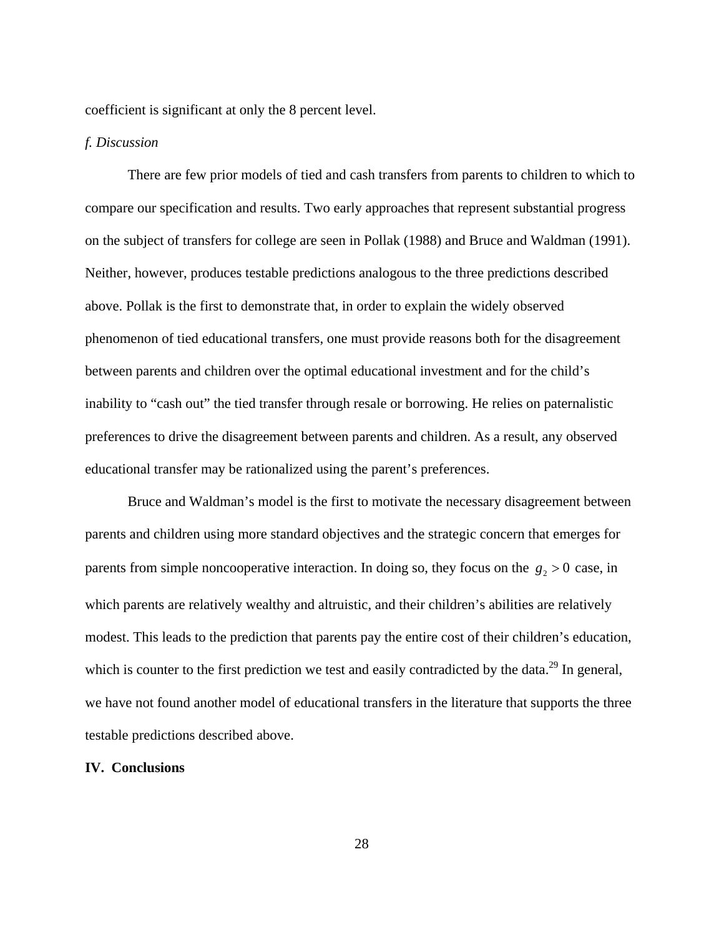coefficient is significant at only the 8 percent level.

## *f. Discussion*

 There are few prior models of tied and cash transfers from parents to children to which to compare our specification and results. Two early approaches that represent substantial progress on the subject of transfers for college are seen in Pollak (1988) and Bruce and Waldman (1991). Neither, however, produces testable predictions analogous to the three predictions described above. Pollak is the first to demonstrate that, in order to explain the widely observed phenomenon of tied educational transfers, one must provide reasons both for the disagreement between parents and children over the optimal educational investment and for the child's inability to "cash out" the tied transfer through resale or borrowing. He relies on paternalistic preferences to drive the disagreement between parents and children. As a result, any observed educational transfer may be rationalized using the parent's preferences.

Bruce and Waldman's model is the first to motivate the necessary disagreement between parents and children using more standard objectives and the strategic concern that emerges for parents from simple noncooperative interaction. In doing so, they focus on the  $g_2 > 0$  case, in which parents are relatively wealthy and altruistic, and their children's abilities are relatively modest. This leads to the prediction that parents pay the entire cost of their children's education, which is counter to the first prediction we test and easily contradicted by the data.<sup>29</sup> In general, we have not found another model of educational transfers in the literature that supports the three testable predictions described above.

#### **IV. Conclusions**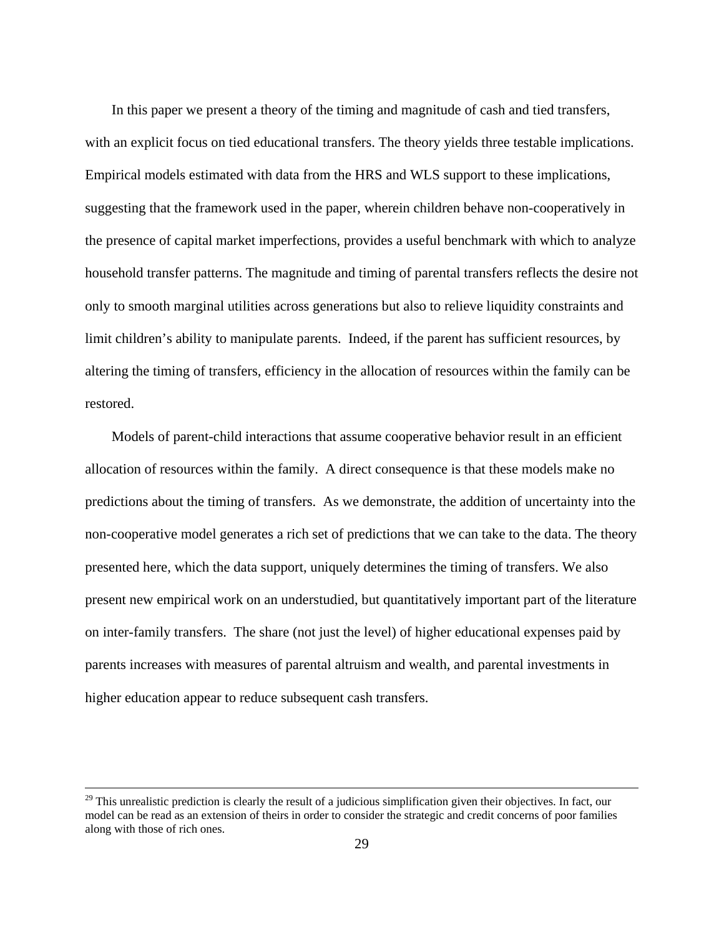In this paper we present a theory of the timing and magnitude of cash and tied transfers, with an explicit focus on tied educational transfers. The theory yields three testable implications. Empirical models estimated with data from the HRS and WLS support to these implications, suggesting that the framework used in the paper, wherein children behave non-cooperatively in the presence of capital market imperfections, provides a useful benchmark with which to analyze household transfer patterns. The magnitude and timing of parental transfers reflects the desire not only to smooth marginal utilities across generations but also to relieve liquidity constraints and limit children's ability to manipulate parents. Indeed, if the parent has sufficient resources, by altering the timing of transfers, efficiency in the allocation of resources within the family can be restored.

 Models of parent-child interactions that assume cooperative behavior result in an efficient allocation of resources within the family. A direct consequence is that these models make no predictions about the timing of transfers. As we demonstrate, the addition of uncertainty into the non-cooperative model generates a rich set of predictions that we can take to the data. The theory presented here, which the data support, uniquely determines the timing of transfers. We also present new empirical work on an understudied, but quantitatively important part of the literature on inter-family transfers. The share (not just the level) of higher educational expenses paid by parents increases with measures of parental altruism and wealth, and parental investments in higher education appear to reduce subsequent cash transfers.

 $29$  This unrealistic prediction is clearly the result of a judicious simplification given their objectives. In fact, our model can be read as an extension of theirs in order to consider the strategic and credit concerns of poor families along with those of rich ones.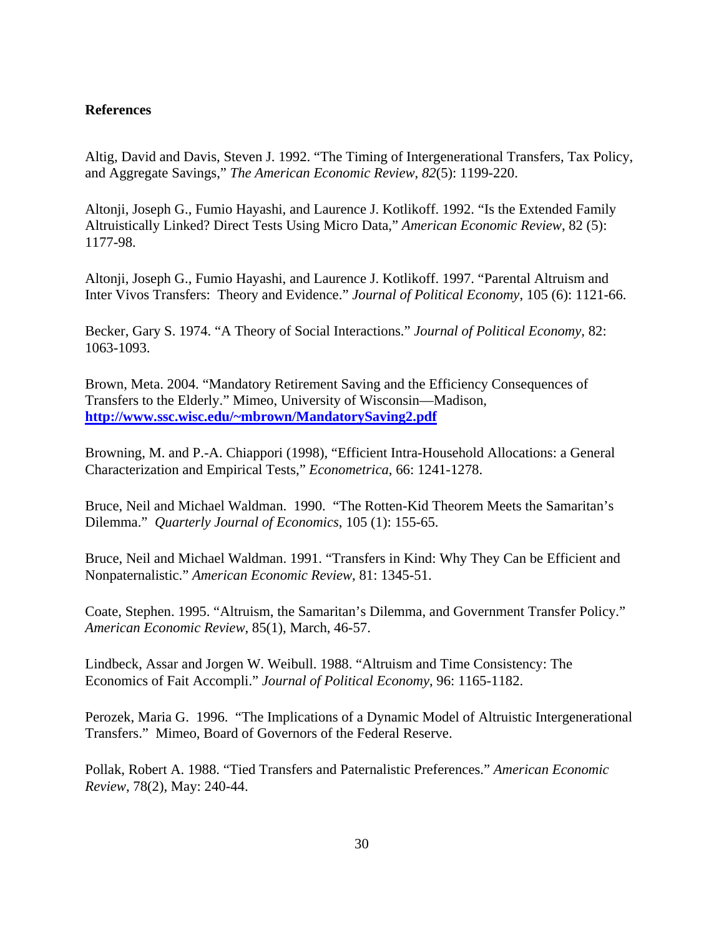## **References**

Altig, David and Davis, Steven J. 1992. "The Timing of Intergenerational Transfers, Tax Policy, and Aggregate Savings," *The American Economic Review*, *82*(5): 1199-220.

Altonji, Joseph G., Fumio Hayashi, and Laurence J. Kotlikoff. 1992. "Is the Extended Family Altruistically Linked? Direct Tests Using Micro Data," *American Economic Review*, 82 (5): 1177-98.

Altonji, Joseph G., Fumio Hayashi, and Laurence J. Kotlikoff. 1997. "Parental Altruism and Inter Vivos Transfers: Theory and Evidence." *Journal of Political Economy*, 105 (6): 1121-66.

Becker, Gary S. 1974. "A Theory of Social Interactions." *Journal of Political Economy*, 82: 1063-1093.

Brown, Meta. 2004. "Mandatory Retirement Saving and the Efficiency Consequences of Transfers to the Elderly." Mimeo, University of Wisconsin—Madison, **http://www.ssc.wisc.edu/~mbrown/MandatorySaving2.pdf**

Browning, M. and P.-A. Chiappori (1998), "Efficient Intra-Household Allocations: a General Characterization and Empirical Tests," *Econometrica*, 66: 1241-1278.

Bruce, Neil and Michael Waldman. 1990. "The Rotten-Kid Theorem Meets the Samaritan's Dilemma." *Quarterly Journal of Economics*, 105 (1): 155-65.

Bruce, Neil and Michael Waldman. 1991. "Transfers in Kind: Why They Can be Efficient and Nonpaternalistic." *American Economic Review*, 81: 1345-51.

Coate, Stephen. 1995. "Altruism, the Samaritan's Dilemma, and Government Transfer Policy." *American Economic Review*, 85(1), March, 46-57.

Lindbeck, Assar and Jorgen W. Weibull. 1988. "Altruism and Time Consistency: The Economics of Fait Accompli." *Journal of Political Economy*, 96: 1165-1182.

Perozek, Maria G. 1996. "The Implications of a Dynamic Model of Altruistic Intergenerational Transfers." Mimeo, Board of Governors of the Federal Reserve.

Pollak, Robert A. 1988. "Tied Transfers and Paternalistic Preferences." *American Economic Review*, 78(2), May: 240-44.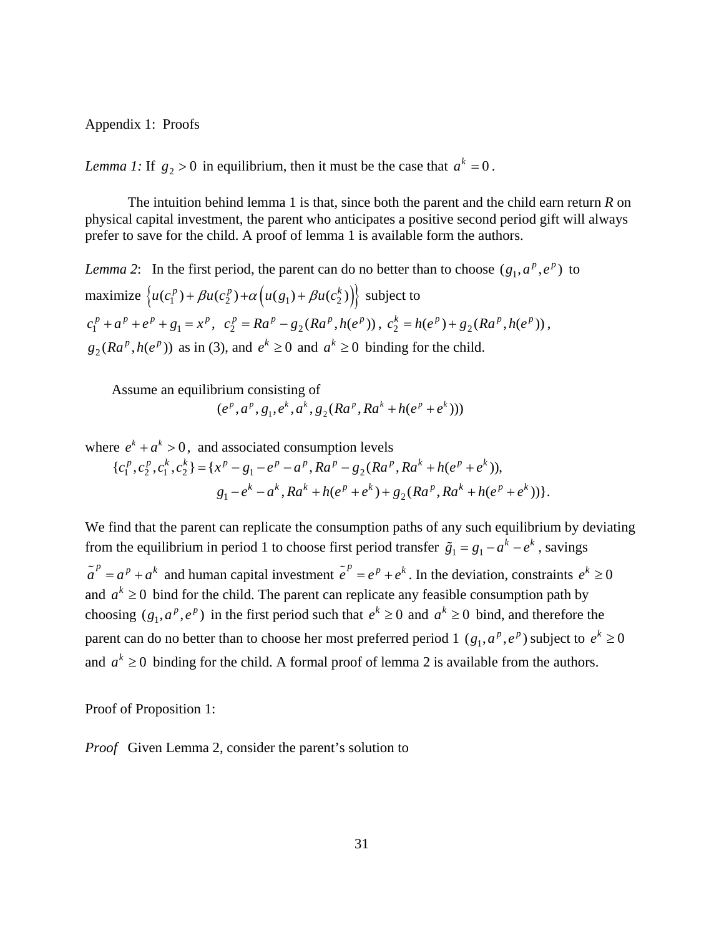Appendix 1: Proofs

*Lemma 1:* If  $g_2 > 0$  in equilibrium, then it must be the case that  $a^k = 0$ .

The intuition behind lemma 1 is that, since both the parent and the child earn return *R* on physical capital investment, the parent who anticipates a positive second period gift will always prefer to save for the child. A proof of lemma 1 is available form the authors.

*Lemma 2*: In the first period, the parent can do no better than to choose  $(g_1, a^p, e^p)$  to maximize  $\{u(c_1^p) + \beta u(c_2^p) + \alpha \left(u(g_1) + \beta u(c_2^k)\right)\}$  subject to  $c_1^p + a^p + e^p + g_1 = x^p$ ,  $c_2^p = Ra^p - g_2(Ra^p, h(e^p))$ ,  $c_2^k = h(e^p) + g_2(Ra^p, h(e^p))$ ,  $g_2(Ra^p, h(e^p))$  as in (3), and  $e^k \ge 0$  and  $a^k \ge 0$  binding for the child.

Assume an equilibrium consisting of

$$
(e^p, a^p, g_1, e^k, a^k, g_2(Ra^p, Ra^k + h(e^p + e^k)))
$$

where  $e^{k} + a^{k} > 0$ , and associated consumption levels

$$
\{c_1^p, c_2^p, c_1^k, c_2^k\} = \{x^p - g_1 - e^p - a^p, Ra^p - g_2(Ra^p, Ra^k + h(e^p + e^k)),
$$
  

$$
g_1 - e^k - a^k, Ra^k + h(e^p + e^k) + g_2(Ra^p, Ra^k + h(e^p + e^k))\}.
$$

We find that the parent can replicate the consumption paths of any such equilibrium by deviating from the equilibrium in period 1 to choose first period transfer  $\tilde{g}_1 = g_1 - a^k - e^k$ , savings  $\tilde{a}^p = a^p + a^k$  and human capital investment  $\tilde{e}^p = e^p + e^k$ . In the deviation, constraints  $e^k \ge 0$ and  $a^k \geq 0$  bind for the child. The parent can replicate any feasible consumption path by choosing  $(g_1, a^p, e^p)$  in the first period such that  $e^k \ge 0$  and  $a^k \ge 0$  bind, and therefore the parent can do no better than to choose her most preferred period 1  $(g_1, a^p, e^p)$  subject to  $e^k \ge 0$ and  $a^k \geq 0$  binding for the child. A formal proof of lemma 2 is available from the authors.

Proof of Proposition 1:

*Proof* Given Lemma 2, consider the parent's solution to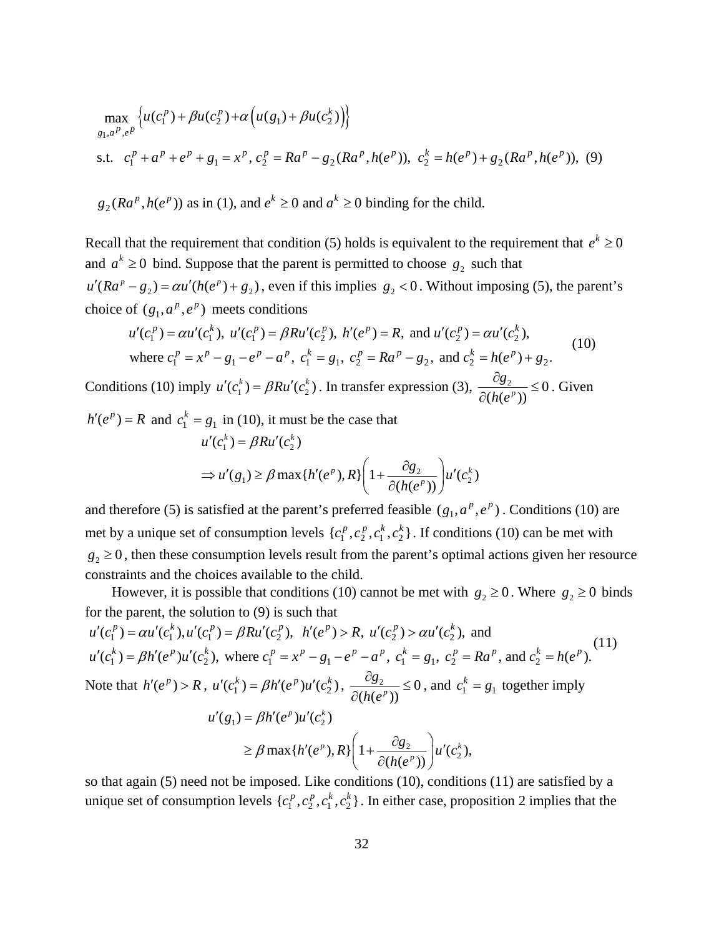$$
\max_{g_1, a^P, e^P} \left\{ u(c_1^P) + \beta u(c_2^P) + \alpha \left( u(g_1) + \beta u(c_2^k) \right) \right\}
$$
  
s.t.  $c_1^P + a^P + e^P + g_1 = x^P$ ,  $c_2^P = Ra^P - g_2(Ra^P, h(e^P))$ ,  $c_2^k = h(e^P) + g_2(Ra^P, h(e^P))$ , (9)

 $g_2(Ra^p, h(e^p))$  as in (1), and  $e^k \ge 0$  and  $a^k \ge 0$  binding for the child.

Recall that the requirement that condition (5) holds is equivalent to the requirement that  $e^k \ge 0$ and  $a^k \geq 0$  bind. Suppose that the parent is permitted to choose  $g_2$  such that  $u'(Ra^p - g_2) = \alpha u'(h(e^p) + g_2)$ , even if this implies  $g_2 < 0$ . Without imposing (5), the parent's choice of  $(g_1, a^p, e^p)$  meets conditions

$$
u'(c_1^p) = \alpha u'(c_1^k), \ u'(c_1^p) = \beta R u'(c_2^p), \ h'(e^p) = R, \text{ and } u'(c_2^p) = \alpha u'(c_2^k),
$$
  
where  $c_1^p = x^p - g_1 - e^p - a^p$ ,  $c_1^k = g_1$ ,  $c_2^p = Ra^p - g_2$ , and  $c_2^k = h(e^p) + g_2$ . (10)

Conditions (10) imply  $u'(c_1^k) = \beta R u'(c_2^k)$ . In transfer expression (3),  $\frac{\partial g_2}{\partial (h(e^p))} \le 0$ *g h e*  $\frac{\partial g_2}{\partial g_2} \leq$ ∂ . Given

$$
h'(e^{p}) = R \text{ and } c_1^k = g_1 \text{ in (10), it must be the case that}
$$
  

$$
u'(c_1^k) = \beta R u'(c_2^k)
$$
  

$$
\Rightarrow u'(g_1) \ge \beta \max\{h'(e^p), R\} \left(1 + \frac{\partial g_2}{\partial(h(e^p))}\right) u'(c_2^k)
$$

and therefore (5) is satisfied at the parent's preferred feasible  $(g_1, a^p, e^p)$ . Conditions (10) are met by a unique set of consumption levels  $\{c_1^p, c_2^p, c_1^k, c_2^k\}$ . If conditions (10) can be met with  $g_2 \geq 0$ , then these consumption levels result from the parent's optimal actions given her resource constraints and the choices available to the child.

However, it is possible that conditions (10) cannot be met with  $g_2 \ge 0$ . Where  $g_2 \ge 0$  binds for the parent, the solution to (9) is such that

$$
u'(c_1^p) = \alpha u'(c_1^k), u'(c_1^p) = \beta R u'(c_2^p), \quad h'(e^p) > R, \quad u'(c_2^p) > \alpha u'(c_2^k), \text{ and}
$$
  
\n
$$
u'(c_1^k) = \beta h'(e^p) u'(c_2^k), \text{ where } c_1^p = x^p - g_1 - e^p - a^p, \quad c_1^k = g_1, \quad c_2^p = Ra^p, \text{ and } c_2^k = h(e^p).
$$
  
\nNote that  $h'(e^p) > R$ ,  $u'(c_1^k) = \beta h'(e^p) u'(c_2^k), \quad \frac{\partial g_2}{\partial (h(e^p))} \le 0$ , and  $c_1^k = g_1$  together imply  
\n
$$
u'(g_1) = \beta h'(e^p) u'(c_2^k)
$$
  
\n
$$
\ge \beta \max \{h'(e^p), R\} \left(1 + \frac{\partial g_2}{\partial (h(e^p))}\right) u'(c_2^k),
$$

so that again (5) need not be imposed. Like conditions (10), conditions (11) are satisfied by a unique set of consumption levels  $\{c_1^p, c_2^p, c_1^k, c_2^k\}$ . In either case, proposition 2 implies that the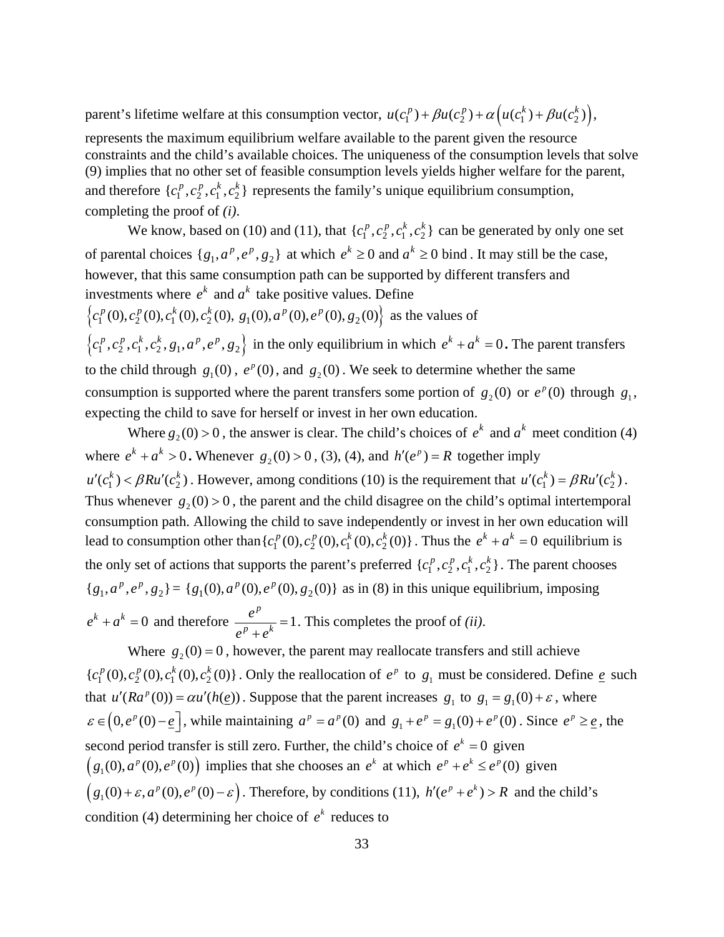parent's lifetime welfare at this consumption vector,  $u(c_1^p) + \beta u(c_2^p) + \alpha \left( u(c_1^k) + \beta u(c_2^k) \right)$ ,

represents the maximum equilibrium welfare available to the parent given the resource constraints and the child's available choices. The uniqueness of the consumption levels that solve (9) implies that no other set of feasible consumption levels yields higher welfare for the parent, and therefore  $\{c_1^p, c_2^p, c_1^k, c_2^k\}$  represents the family's unique equilibrium consumption, completing the proof of *(i)*.

We know, based on (10) and (11), that  $\{c_1^p, c_2^p, c_1^k, c_2^k\}$  can be generated by only one set of parental choices  $\{g_1, a^p, e^p, g_2\}$  at which  $e^k \ge 0$  and  $a^k \ge 0$  bind. It may still be the case, however, that this same consumption path can be supported by different transfers and investments where  $e^k$  and  $a^k$  take positive values. Define  ${c_1^p(0), c_2^p(0), c_1^k(0), c_2^k(0), g_1(0), a^p(0), e^p(0), g_2(0)}$  as the values of  $\{c_1^p, c_2^p, c_1^k, c_2^k, g_1, a^p, e^p, g_2\}$  in the only equilibrium in which  $e^k + a^k = 0$ . The parent transfers to the child through  $g_1(0)$ ,  $e^p(0)$ , and  $g_2(0)$ . We seek to determine whether the same consumption is supported where the parent transfers some portion of  $g_2(0)$  or  $e^p(0)$  through  $g_1$ , expecting the child to save for herself or invest in her own education.

Where  $g_2(0) > 0$ , the answer is clear. The child's choices of  $e^k$  and  $a^k$  meet condition (4) where  $e^{k} + a^{k} > 0$ . Whenever  $g_2(0) > 0$ , (3), (4), and  $h'(e^{p}) = R$  together imply  $u'(c_1^k) < \beta Ru'(c_2^k)$ . However, among conditions (10) is the requirement that  $u'(c_1^k) = \beta Ru'(c_2^k)$ . Thus whenever  $g_2(0) > 0$ , the parent and the child disagree on the child's optimal intertemporal consumption path. Allowing the child to save independently or invest in her own education will lead to consumption other than  $\{c_1^p(0), c_2^p(0), c_1^k(0), c_2^k(0)\}$ . Thus the  $e^k + a^k = 0$  equilibrium is the only set of actions that supports the parent's preferred  $\{c_1^p, c_2^p, c_1^k, c_2^k\}$ . The parent chooses  ${g_1, a^p, e^p, g_2} = {g_1(0), a^p(0), e^p(0), g_2(0)}$  as in (8) in this unique equilibrium, imposing  $e^{k} + a^{k} = 0$  and therefore  $\frac{e^{p}}{p} = 1$  $p \rightarrow k$  $\frac{e^p}{e^p + e^k} = 1$ . This completes the proof of *(ii)*.

Where  $g_2(0) = 0$ , however, the parent may reallocate transfers and still achieve  ${c_1^p(0), c_2^p(0), c_1^k(0), c_2^k(0)}$ . Only the reallocation of  $e^p$  to  $g_1$  must be considered. Define  $e$  such that  $u'(Ra^p(0)) = \alpha u'(h(\underline{e}))$ . Suppose that the parent increases  $g_1$  to  $g_1 = g_1(0) + \varepsilon$ , where  $\varepsilon \in (0, e^p(0) - \underline{e})$ , while maintaining  $a^p = a^p(0)$  and  $g_1 + e^p = g_1(0) + e^p(0)$ . Since  $e^p \ge \underline{e}$ , the second period transfer is still zero. Further, the child's choice of  $e^k = 0$  given  $(g_1(0), a^p(0), e^p(0))$  implies that she chooses an  $e^k$  at which  $e^p + e^k \le e^p(0)$  given  $(g_1(0) + \varepsilon, a^p(0), e^p(0) - \varepsilon)$ . Therefore, by conditions (11),  $h'(e^p + e^k) > R$  and the child's condition (4) determining her choice of  $e^k$  reduces to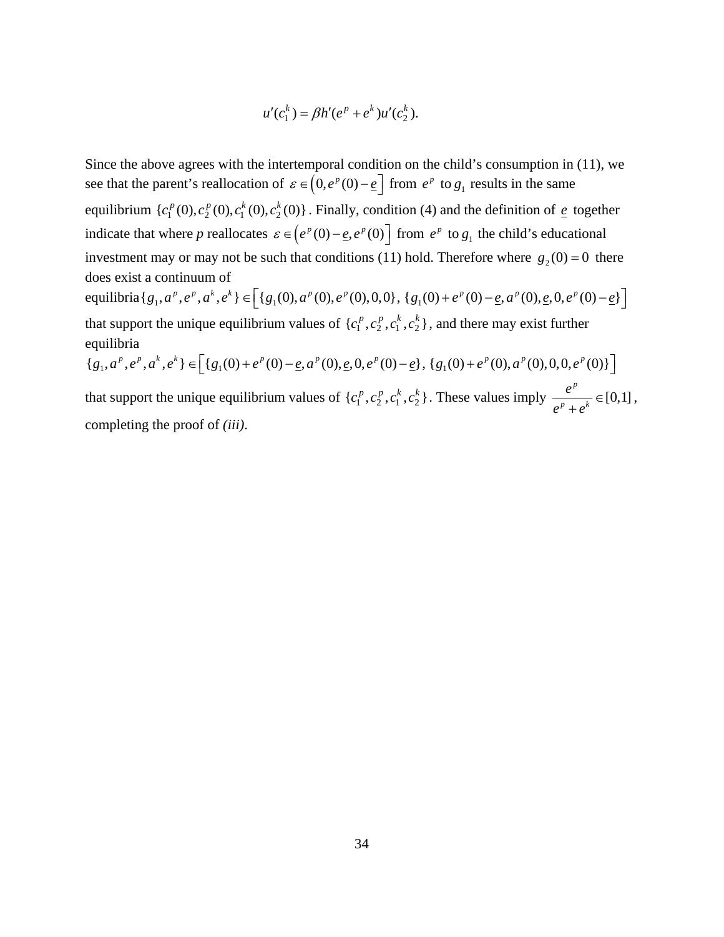$$
u'(c_1^k) = \beta h'(e^p + e^k)u'(c_2^k).
$$

Since the above agrees with the intertemporal condition on the child's consumption in (11), we see that the parent's reallocation of  $\varepsilon \in (0, e^p(0) - \underline{e}]$  from  $e^p$  to  $g_1$  results in the same equilibrium  $\{c_1^p(0), c_2^p(0), c_1^k(0), c_2^k(0)\}$ . Finally, condition (4) and the definition of  $\epsilon$  together indicate that where *p* reallocates  $\varepsilon \in (e^p(0) - \underline{e}, e^p(0))$  from  $e^p$  to  $g_1$  the child's educational investment may or may not be such that conditions (11) hold. Therefore where  $g_2(0) = 0$  there does exist a continuum of  ${\rm equilibrium} \{g_1, a^p, e^p, a^k, e^k\} \in \left[ \{g_1(0), a^p(0), e^p(0), 0, 0\}, \{g_1(0) + e^p(0) - \underline{e}, a^p(0), \underline{e}, 0, e^p(0) - \underline{e}\} \right]$ that support the unique equilibrium values of  $\{c_1^p, c_2^p, c_1^k, c_2^k\}$ , and there may exist further equilibria  ${g_1, a^p, e^p, a^k, e^k} \in \left[ {g_1(0) + e^p(0) - \underline{e}, a^p(0), \underline{e}, 0, e^p(0) - \underline{e}}, {g_1(0) + e^p(0), a^p(0), 0, 0, e^p(0)} \right]$ 

that support the unique equilibrium values of  $\{c_1^p, c_2^p, c_1^k, c_2^k\}$ . These values imply  $\frac{e^p}{\sqrt{p^p+1}} \in [0,1]$  $p \rightarrow k$ *e*  $e^p + e$  $\frac{1}{1+e^k} \in [0,1],$ completing the proof of *(iii)*.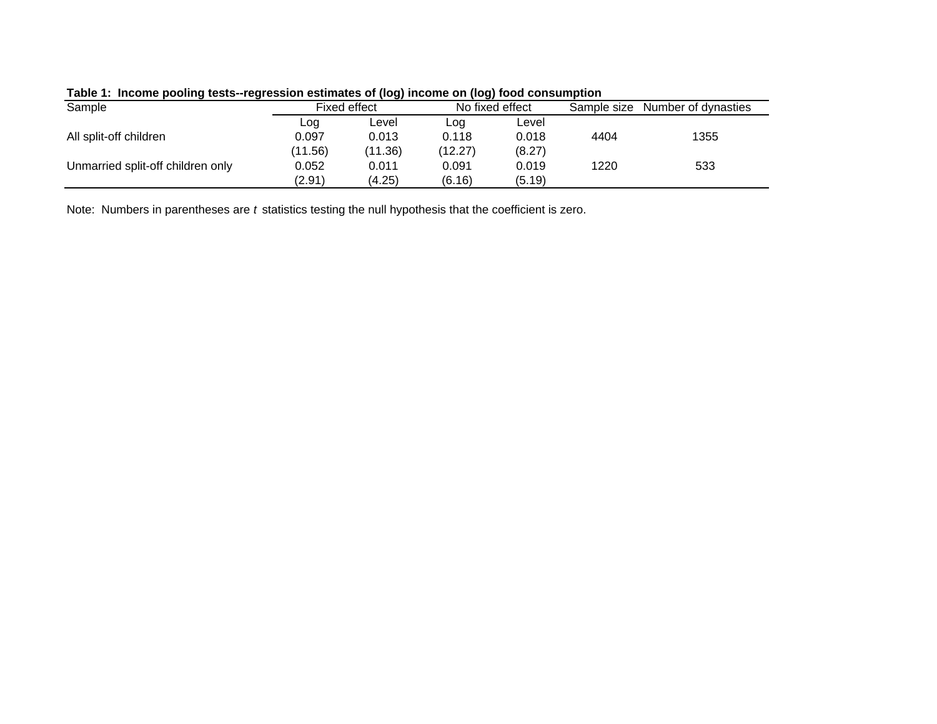| <u>rapid 1. moonig pooling tooto Togrobolon counidities or flog) moonig on flog) lood oonbamption</u> |         |              |                 |        |             |                     |  |  |  |
|-------------------------------------------------------------------------------------------------------|---------|--------------|-----------------|--------|-------------|---------------------|--|--|--|
| Sample                                                                                                |         | Fixed effect | No fixed effect |        | Sample size | Number of dynasties |  |  |  |
|                                                                                                       | Log     | Level        | Log             | Level  |             |                     |  |  |  |
| All split-off children                                                                                | 0.097   | 0.013        | 0.118           | 0.018  | 4404        | 1355                |  |  |  |
|                                                                                                       | (11.56) | (11.36)      | (12.27)         | (8.27) |             |                     |  |  |  |
| Unmarried split-off children only                                                                     | 0.052   | 0.011        | 0.091           | 0.019  | 1220        | 533                 |  |  |  |
|                                                                                                       | (2.91)  | (4.25)       | (6.16)          | (5.19) |             |                     |  |  |  |
|                                                                                                       |         |              |                 |        |             |                     |  |  |  |

# **Table 1: Income pooling tests--regression estimates of (log) income on (log) food consumption**

Note: Numbers in parentheses are *t* statistics testing the null hypothesis that the coefficient is zero.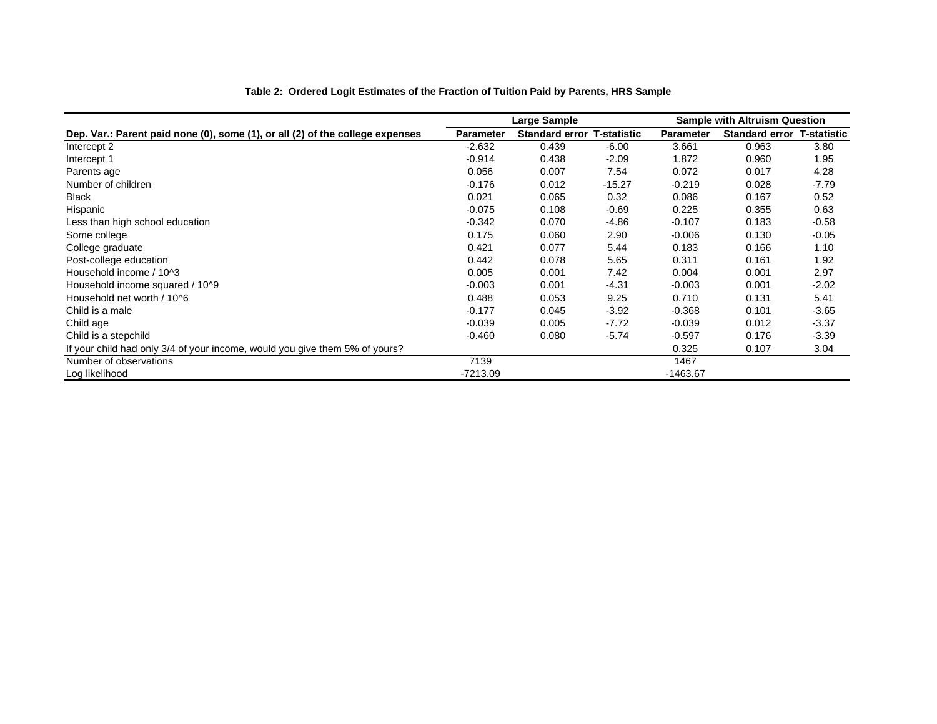|                                                                               |           | Large Sample                      |          | <b>Sample with Altruism Question</b> |                                   |         |  |
|-------------------------------------------------------------------------------|-----------|-----------------------------------|----------|--------------------------------------|-----------------------------------|---------|--|
| Dep. Var.: Parent paid none (0), some (1), or all (2) of the college expenses | Parameter | <b>Standard error T-statistic</b> |          | <b>Parameter</b>                     | <b>Standard error T-statistic</b> |         |  |
| Intercept 2                                                                   | $-2.632$  | 0.439                             | -6.00    | 3.661                                | 0.963                             | 3.80    |  |
| Intercept 1                                                                   | $-0.914$  | 0.438                             | $-2.09$  | 1.872                                | 0.960                             | 1.95    |  |
| Parents age                                                                   | 0.056     | 0.007                             | 7.54     | 0.072                                | 0.017                             | 4.28    |  |
| Number of children                                                            | $-0.176$  | 0.012                             | $-15.27$ | $-0.219$                             | 0.028                             | $-7.79$ |  |
| <b>Black</b>                                                                  | 0.021     | 0.065                             | 0.32     | 0.086                                | 0.167                             | 0.52    |  |
| Hispanic                                                                      | $-0.075$  | 0.108                             | $-0.69$  | 0.225                                | 0.355                             | 0.63    |  |
| Less than high school education                                               | $-0.342$  | 0.070                             | $-4.86$  | $-0.107$                             | 0.183                             | $-0.58$ |  |
| Some college                                                                  | 0.175     | 0.060                             | 2.90     | $-0.006$                             | 0.130                             | $-0.05$ |  |
| College graduate                                                              | 0.421     | 0.077                             | 5.44     | 0.183                                | 0.166                             | 1.10    |  |
| Post-college education                                                        | 0.442     | 0.078                             | 5.65     | 0.311                                | 0.161                             | 1.92    |  |
| Household income / 10^3                                                       | 0.005     | 0.001                             | 7.42     | 0.004                                | 0.001                             | 2.97    |  |
| Household income squared / 10^9                                               | $-0.003$  | 0.001                             | $-4.31$  | $-0.003$                             | 0.001                             | $-2.02$ |  |
| Household net worth / 10^6                                                    | 0.488     | 0.053                             | 9.25     | 0.710                                | 0.131                             | 5.41    |  |
| Child is a male                                                               | $-0.177$  | 0.045                             | $-3.92$  | $-0.368$                             | 0.101                             | $-3.65$ |  |
| Child age                                                                     | $-0.039$  | 0.005                             | $-7.72$  | $-0.039$                             | 0.012                             | $-3.37$ |  |
| Child is a stepchild                                                          | $-0.460$  | 0.080                             | $-5.74$  | $-0.597$                             | 0.176                             | $-3.39$ |  |
| If your child had only 3/4 of your income, would you give them 5% of yours?   |           |                                   |          | 0.325                                | 0.107                             | 3.04    |  |
| Number of observations                                                        | 7139      |                                   |          | 1467                                 |                                   |         |  |
| Log likelihood                                                                | -7213.09  |                                   |          | $-1463.67$                           |                                   |         |  |

#### **Table 2: Ordered Logit Estimates of the Fraction of Tuition Paid by Parents, HRS Sample**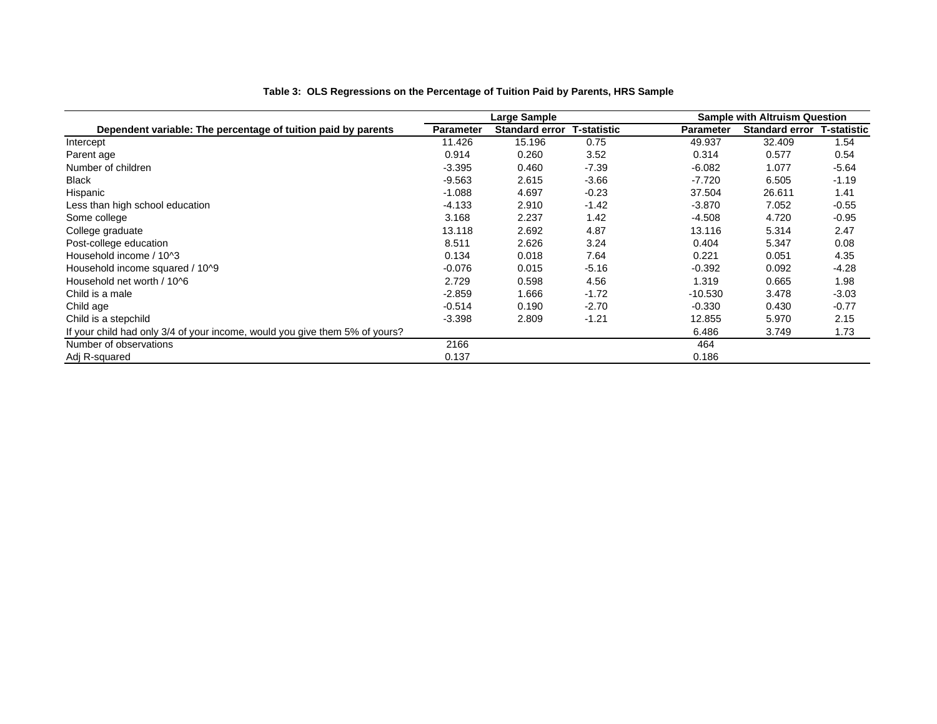|                                                                             |                  | Large Sample          |                    |                  | <b>Sample with Altruism Question</b> |         |
|-----------------------------------------------------------------------------|------------------|-----------------------|--------------------|------------------|--------------------------------------|---------|
| Dependent variable: The percentage of tuition paid by parents               | <b>Parameter</b> | <b>Standard error</b> | <b>T-statistic</b> | <b>Parameter</b> | <b>Standard error T-statistic</b>    |         |
| Intercept                                                                   | 11.426           | 15.196                | 0.75               | 49.937           | 32.409                               | 1.54    |
| Parent age                                                                  | 0.914            | 0.260                 | 3.52               | 0.314            | 0.577                                | 0.54    |
| Number of children                                                          | $-3.395$         | 0.460                 | $-7.39$            | $-6.082$         | 1.077                                | $-5.64$ |
| <b>Black</b>                                                                | $-9.563$         | 2.615                 | $-3.66$            | $-7.720$         | 6.505                                | $-1.19$ |
| Hispanic                                                                    | $-1.088$         | 4.697                 | $-0.23$            | 37.504           | 26.611                               | 1.41    |
| Less than high school education                                             | $-4.133$         | 2.910                 | $-1.42$            | $-3.870$         | 7.052                                | $-0.55$ |
| Some college                                                                | 3.168            | 2.237                 | 1.42               | $-4.508$         | 4.720                                | $-0.95$ |
| College graduate                                                            | 13.118           | 2.692                 | 4.87               | 13.116           | 5.314                                | 2.47    |
| Post-college education                                                      | 8.511            | 2.626                 | 3.24               | 0.404            | 5.347                                | 0.08    |
| Household income / 10^3                                                     | 0.134            | 0.018                 | 7.64               | 0.221            | 0.051                                | 4.35    |
| Household income squared / 10^9                                             | $-0.076$         | 0.015                 | $-5.16$            | $-0.392$         | 0.092                                | $-4.28$ |
| Household net worth / 10^6                                                  | 2.729            | 0.598                 | 4.56               | 1.319            | 0.665                                | 1.98    |
| Child is a male                                                             | $-2.859$         | 1.666                 | $-1.72$            | $-10.530$        | 3.478                                | $-3.03$ |
| Child age                                                                   | $-0.514$         | 0.190                 | $-2.70$            | $-0.330$         | 0.430                                | $-0.77$ |
| Child is a stepchild                                                        | $-3.398$         | 2.809                 | $-1.21$            | 12.855           | 5.970                                | 2.15    |
| If your child had only 3/4 of your income, would you give them 5% of yours? |                  |                       |                    | 6.486            | 3.749                                | 1.73    |
| Number of observations                                                      | 2166             |                       |                    | 464              |                                      |         |
| Adj R-squared                                                               | 0.137            |                       |                    | 0.186            |                                      |         |

#### **Table 3: OLS Regressions on the Percentage of Tuition Paid by Parents, HRS Sample**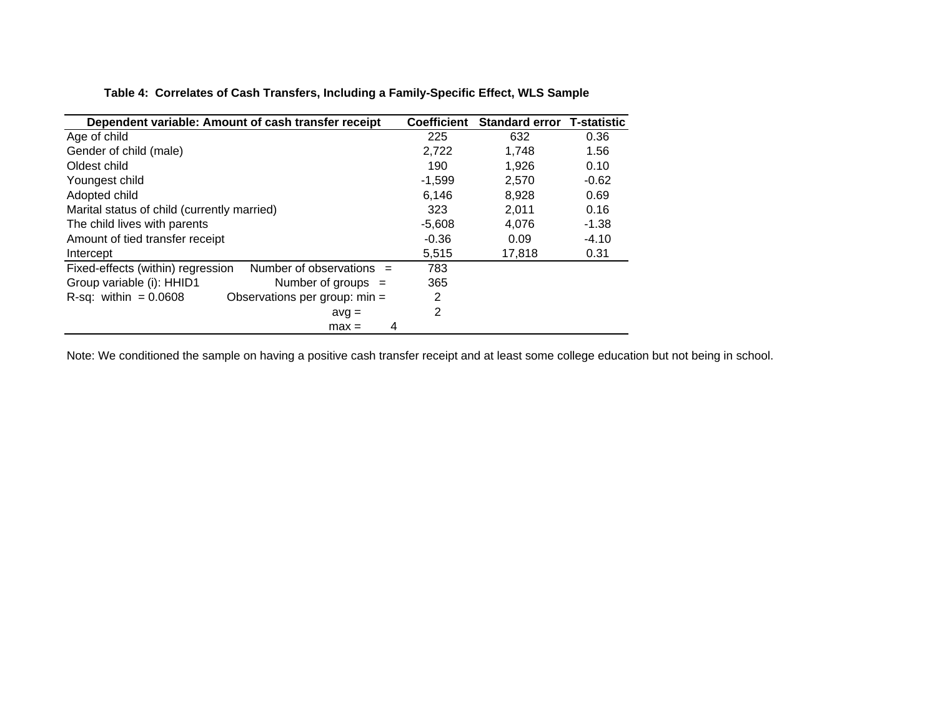|  | Table 4: Correlates of Cash Transfers, Including a Family-Specific Effect, WLS Sample |  |
|--|---------------------------------------------------------------------------------------|--|
|  |                                                                                       |  |

| Dependent variable: Amount of cash transfer receipt             | <b>Coefficient</b> | <b>Standard error</b> | <b>T-statistic</b> |
|-----------------------------------------------------------------|--------------------|-----------------------|--------------------|
| Age of child                                                    | 225                | 632                   | 0.36               |
| Gender of child (male)                                          | 2,722              | 1.748                 | 1.56               |
| Oldest child                                                    | 190                | 1.926                 | 0.10               |
| Youngest child                                                  | $-1,599$           | 2,570                 | $-0.62$            |
| Adopted child                                                   | 6,146              | 8,928                 | 0.69               |
| Marital status of child (currently married)                     | 323                | 2,011                 | 0.16               |
| The child lives with parents                                    | $-5,608$           | 4.076                 | $-1.38$            |
| Amount of tied transfer receipt                                 | $-0.36$            | 0.09                  | $-4.10$            |
| Intercept                                                       | 5,515              | 17,818                | 0.31               |
| Number of observations $=$<br>Fixed-effects (within) regression | 783                |                       |                    |
| Group variable (i): HHID1<br>Number of groups $=$               | 365                |                       |                    |
| $R$ -sq: within = 0.0608<br>Observations per group: min =       | 2                  |                       |                    |
| $avg =$                                                         | 2                  |                       |                    |
| 4<br>$max =$                                                    |                    |                       |                    |

Note: We conditioned the sample on having a positive cash transfer receipt and at least some college education but not being in school.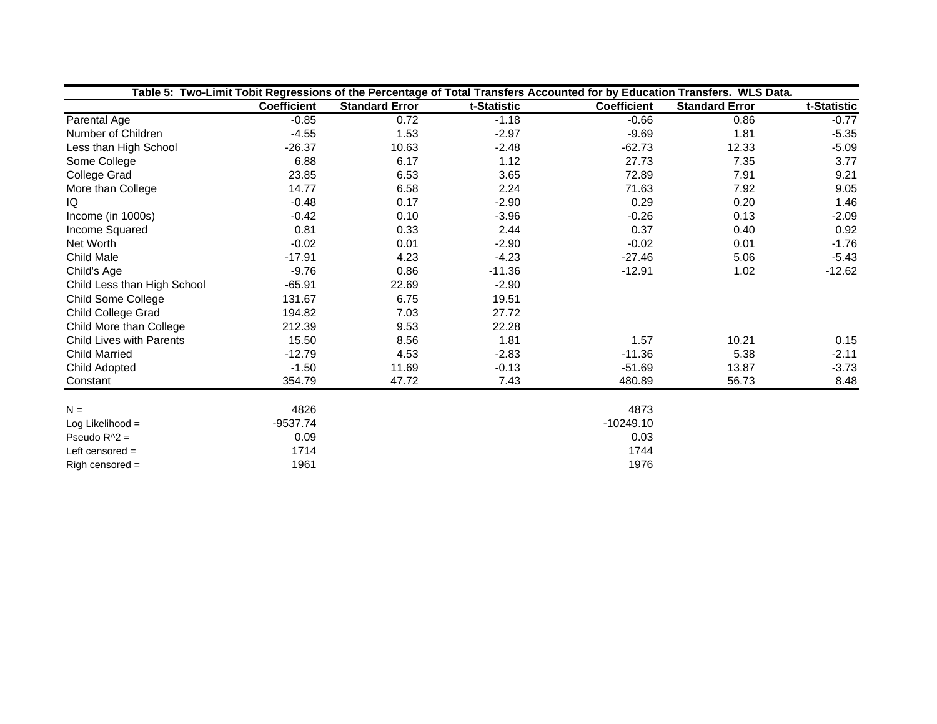|                             | Table 5: Two-Limit Tobit Regressions of the Percentage of Total Transfers Accounted for by Education Transfers. WLS Data. |                       |             |                    |                       |             |  |  |  |
|-----------------------------|---------------------------------------------------------------------------------------------------------------------------|-----------------------|-------------|--------------------|-----------------------|-------------|--|--|--|
|                             | <b>Coefficient</b>                                                                                                        | <b>Standard Error</b> | t-Statistic | <b>Coefficient</b> | <b>Standard Error</b> | t-Statistic |  |  |  |
| Parental Age                | $-0.85$                                                                                                                   | 0.72                  | $-1.18$     | $-0.66$            | 0.86                  | $-0.77$     |  |  |  |
| Number of Children          | $-4.55$                                                                                                                   | 1.53                  | $-2.97$     | $-9.69$            | 1.81                  | $-5.35$     |  |  |  |
| Less than High School       | $-26.37$                                                                                                                  | 10.63                 | $-2.48$     | $-62.73$           | 12.33                 | $-5.09$     |  |  |  |
| Some College                | 6.88                                                                                                                      | 6.17                  | 1.12        | 27.73              | 7.35                  | 3.77        |  |  |  |
| <b>College Grad</b>         | 23.85                                                                                                                     | 6.53                  | 3.65        | 72.89              | 7.91                  | 9.21        |  |  |  |
| More than College           | 14.77                                                                                                                     | 6.58                  | 2.24        | 71.63              | 7.92                  | 9.05        |  |  |  |
| IQ                          | $-0.48$                                                                                                                   | 0.17                  | $-2.90$     | 0.29               | 0.20                  | 1.46        |  |  |  |
| Income (in 1000s)           | $-0.42$                                                                                                                   | 0.10                  | $-3.96$     | $-0.26$            | 0.13                  | $-2.09$     |  |  |  |
| Income Squared              | 0.81                                                                                                                      | 0.33                  | 2.44        | 0.37               | 0.40                  | 0.92        |  |  |  |
| Net Worth                   | $-0.02$                                                                                                                   | 0.01                  | $-2.90$     | $-0.02$            | 0.01                  | $-1.76$     |  |  |  |
| <b>Child Male</b>           | $-17.91$                                                                                                                  | 4.23                  | $-4.23$     | $-27.46$           | 5.06                  | $-5.43$     |  |  |  |
| Child's Age                 | $-9.76$                                                                                                                   | 0.86                  | $-11.36$    | $-12.91$           | 1.02                  | $-12.62$    |  |  |  |
| Child Less than High School | $-65.91$                                                                                                                  | 22.69                 | $-2.90$     |                    |                       |             |  |  |  |
| Child Some College          | 131.67                                                                                                                    | 6.75                  | 19.51       |                    |                       |             |  |  |  |
| Child College Grad          | 194.82                                                                                                                    | 7.03                  | 27.72       |                    |                       |             |  |  |  |
| Child More than College     | 212.39                                                                                                                    | 9.53                  | 22.28       |                    |                       |             |  |  |  |
| Child Lives with Parents    | 15.50                                                                                                                     | 8.56                  | 1.81        | 1.57               | 10.21                 | 0.15        |  |  |  |
| <b>Child Married</b>        | $-12.79$                                                                                                                  | 4.53                  | $-2.83$     | $-11.36$           | 5.38                  | $-2.11$     |  |  |  |
| Child Adopted               | $-1.50$                                                                                                                   | 11.69                 | $-0.13$     | $-51.69$           | 13.87                 | $-3.73$     |  |  |  |
| Constant                    | 354.79                                                                                                                    | 47.72                 | 7.43        | 480.89             | 56.73                 | 8.48        |  |  |  |
| $N =$                       | 4826                                                                                                                      |                       |             | 4873               |                       |             |  |  |  |
| Log Likelihood =            | $-9537.74$                                                                                                                |                       |             | $-10249.10$        |                       |             |  |  |  |
| Pseudo $R^2$ =              | 0.09                                                                                                                      |                       |             | 0.03               |                       |             |  |  |  |
| Left censored $=$           | 1714                                                                                                                      |                       |             | 1744               |                       |             |  |  |  |
| $Right$ censored =          | 1961                                                                                                                      |                       |             | 1976               |                       |             |  |  |  |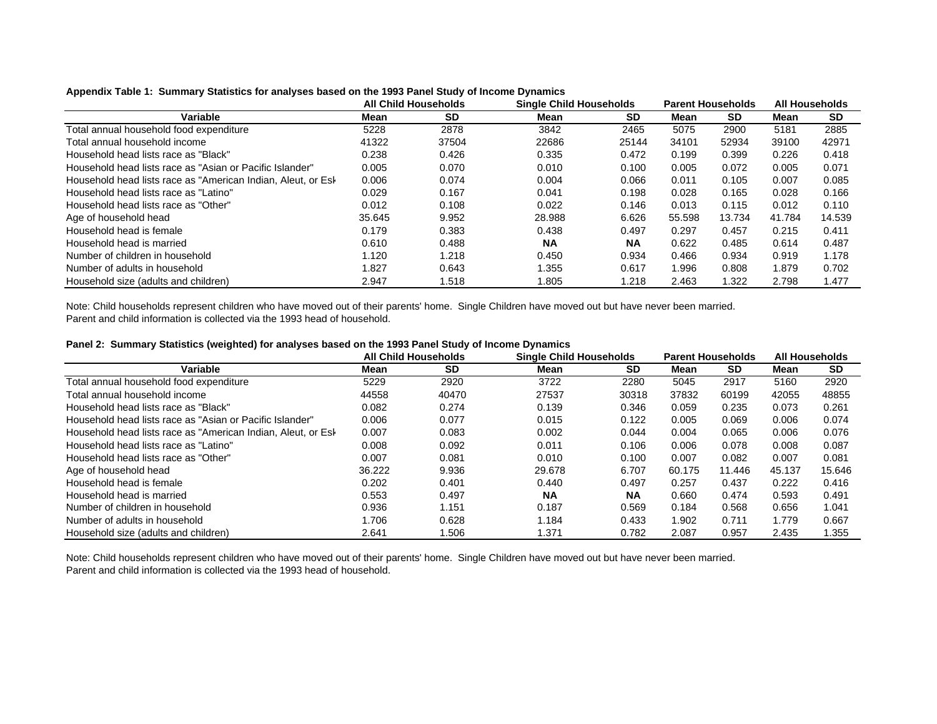|                                                              | <b>All Child Households</b> |       |           | <b>Single Child Households</b> |        | <b>Parent Households</b> |        | <b>All Households</b> |  |
|--------------------------------------------------------------|-----------------------------|-------|-----------|--------------------------------|--------|--------------------------|--------|-----------------------|--|
| Variable                                                     | Mean                        | SD    | Mean      | <b>SD</b>                      | Mean   | <b>SD</b>                | Mean   | <b>SD</b>             |  |
| Total annual household food expenditure                      | 5228                        | 2878  | 3842      | 2465                           | 5075   | 2900                     | 5181   | 2885                  |  |
| Total annual household income                                | 41322                       | 37504 | 22686     | 25144                          | 34101  | 52934                    | 39100  | 42971                 |  |
| Household head lists race as "Black"                         | 0.238                       | 0.426 | 0.335     | 0.472                          | 0.199  | 0.399                    | 0.226  | 0.418                 |  |
| Household head lists race as "Asian or Pacific Islander"     | 0.005                       | 0.070 | 0.010     | 0.100                          | 0.005  | 0.072                    | 0.005  | 0.071                 |  |
| Household head lists race as "American Indian, Aleut, or Esk | 0.006                       | 0.074 | 0.004     | 0.066                          | 0.011  | 0.105                    | 0.007  | 0.085                 |  |
| Household head lists race as "Latino"                        | 0.029                       | 0.167 | 0.041     | 0.198                          | 0.028  | 0.165                    | 0.028  | 0.166                 |  |
| Household head lists race as "Other"                         | 0.012                       | 0.108 | 0.022     | 0.146                          | 0.013  | 0.115                    | 0.012  | 0.110                 |  |
| Age of household head                                        | 35.645                      | 9.952 | 28.988    | 6.626                          | 55.598 | 13.734                   | 41.784 | 14.539                |  |
| Household head is female                                     | 0.179                       | 0.383 | 0.438     | 0.497                          | 0.297  | 0.457                    | 0.215  | 0.411                 |  |
| Household head is married                                    | 0.610                       | 0.488 | <b>NA</b> | <b>NA</b>                      | 0.622  | 0.485                    | 0.614  | 0.487                 |  |
| Number of children in household                              | 1.120                       | 1.218 | 0.450     | 0.934                          | 0.466  | 0.934                    | 0.919  | 1.178                 |  |
| Number of adults in household                                | 1.827                       | 0.643 | 1.355     | 0.617                          | 1.996  | 0.808                    | 1.879  | 0.702                 |  |
| Household size (adults and children)                         | 2.947                       | 1.518 | 1.805     | 1.218                          | 2.463  | 1.322                    | 2.798  | 1.477                 |  |

#### **Appendix Table 1: Summary Statistics for analyses based on the 1993 Panel Study of Income Dynamics**

Note: Child households represent children who have moved out of their parents' home. Single Children have moved out but have never been married. Parent and child information is collected via the 1993 head of household.

|  |  |  | Panel 2: Summary Statistics (weighted) for analyses based on the 1993 Panel Study of Income Dynamics |  |
|--|--|--|------------------------------------------------------------------------------------------------------|--|
|--|--|--|------------------------------------------------------------------------------------------------------|--|

|                                                              | All Child Households |           |           | <b>Single Child Households</b> |        | <b>Parent Households</b> |        | <b>All Households</b> |  |
|--------------------------------------------------------------|----------------------|-----------|-----------|--------------------------------|--------|--------------------------|--------|-----------------------|--|
| Variable                                                     | Mean                 | <b>SD</b> | Mean      | <b>SD</b>                      | Mean   | <b>SD</b>                | Mean   | <b>SD</b>             |  |
| Total annual household food expenditure                      | 5229                 | 2920      | 3722      | 2280                           | 5045   | 2917                     | 5160   | 2920                  |  |
| Total annual household income                                | 44558                | 40470     | 27537     | 30318                          | 37832  | 60199                    | 42055  | 48855                 |  |
| Household head lists race as "Black"                         | 0.082                | 0.274     | 0.139     | 0.346                          | 0.059  | 0.235                    | 0.073  | 0.261                 |  |
| Household head lists race as "Asian or Pacific Islander"     | 0.006                | 0.077     | 0.015     | 0.122                          | 0.005  | 0.069                    | 0.006  | 0.074                 |  |
| Household head lists race as "American Indian, Aleut, or Esk | 0.007                | 0.083     | 0.002     | 0.044                          | 0.004  | 0.065                    | 0.006  | 0.076                 |  |
| Household head lists race as "Latino"                        | 0.008                | 0.092     | 0.011     | 0.106                          | 0.006  | 0.078                    | 0.008  | 0.087                 |  |
| Household head lists race as "Other"                         | 0.007                | 0.081     | 0.010     | 0.100                          | 0.007  | 0.082                    | 0.007  | 0.081                 |  |
| Age of household head                                        | 36.222               | 9.936     | 29.678    | 6.707                          | 60.175 | 11.446                   | 45.137 | 15.646                |  |
| Household head is female                                     | 0.202                | 0.401     | 0.440     | 0.497                          | 0.257  | 0.437                    | 0.222  | 0.416                 |  |
| Household head is married                                    | 0.553                | 0.497     | <b>NA</b> | <b>NA</b>                      | 0.660  | 0.474                    | 0.593  | 0.491                 |  |
| Number of children in household                              | 0.936                | 1.151     | 0.187     | 0.569                          | 0.184  | 0.568                    | 0.656  | 1.041                 |  |
| Number of adults in household                                | 1.706                | 0.628     | 1.184     | 0.433                          | 1.902  | 0.711                    | 1.779  | 0.667                 |  |
| Household size (adults and children)                         | 2.641                | .506      | 1.371     | 0.782                          | 2.087  | 0.957                    | 2.435  | 1.355                 |  |

Note: Child households represent children who have moved out of their parents' home. Single Children have moved out but have never been married. Parent and child information is collected via the 1993 head of household.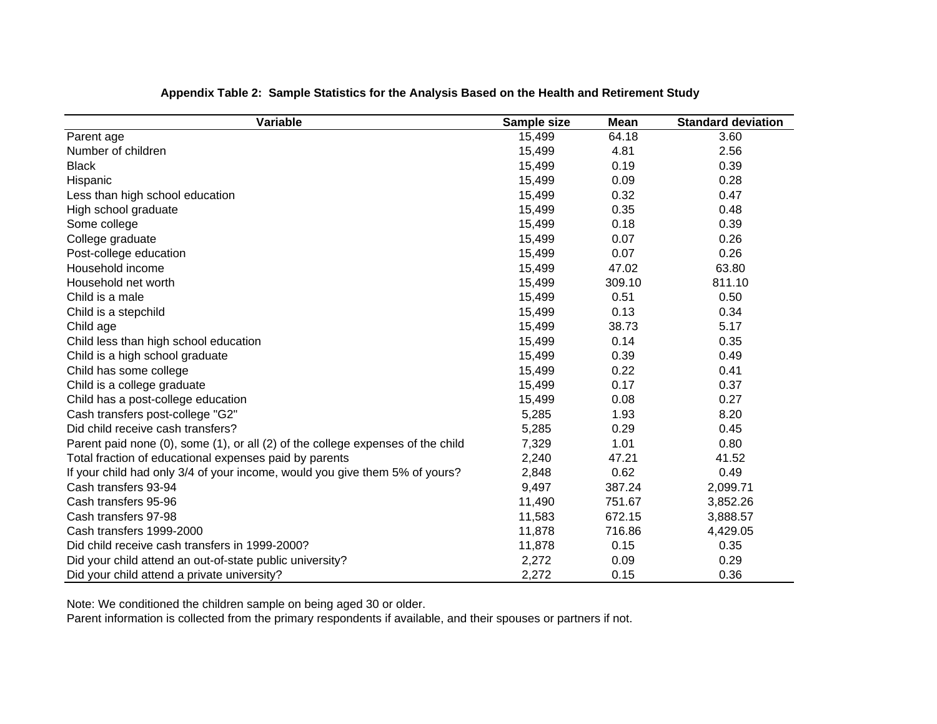| Variable                                                                        | Sample size | <b>Mean</b> | <b>Standard deviation</b> |
|---------------------------------------------------------------------------------|-------------|-------------|---------------------------|
| Parent age                                                                      | 15,499      | 64.18       | 3.60                      |
| Number of children                                                              | 15,499      | 4.81        | 2.56                      |
| <b>Black</b>                                                                    | 15,499      | 0.19        | 0.39                      |
| Hispanic                                                                        | 15,499      | 0.09        | 0.28                      |
| Less than high school education                                                 | 15,499      | 0.32        | 0.47                      |
| High school graduate                                                            | 15,499      | 0.35        | 0.48                      |
| Some college                                                                    | 15,499      | 0.18        | 0.39                      |
| College graduate                                                                | 15,499      | 0.07        | 0.26                      |
| Post-college education                                                          | 15,499      | 0.07        | 0.26                      |
| Household income                                                                | 15,499      | 47.02       | 63.80                     |
| Household net worth                                                             | 15,499      | 309.10      | 811.10                    |
| Child is a male                                                                 | 15,499      | 0.51        | 0.50                      |
| Child is a stepchild                                                            | 15,499      | 0.13        | 0.34                      |
| Child age                                                                       | 15,499      | 38.73       | 5.17                      |
| Child less than high school education                                           | 15,499      | 0.14        | 0.35                      |
| Child is a high school graduate                                                 | 15,499      | 0.39        | 0.49                      |
| Child has some college                                                          | 15,499      | 0.22        | 0.41                      |
| Child is a college graduate                                                     | 15,499      | 0.17        | 0.37                      |
| Child has a post-college education                                              | 15,499      | 0.08        | 0.27                      |
| Cash transfers post-college "G2"                                                | 5,285       | 1.93        | 8.20                      |
| Did child receive cash transfers?                                               | 5,285       | 0.29        | 0.45                      |
| Parent paid none (0), some (1), or all (2) of the college expenses of the child | 7,329       | 1.01        | 0.80                      |
| Total fraction of educational expenses paid by parents                          | 2,240       | 47.21       | 41.52                     |
| If your child had only 3/4 of your income, would you give them 5% of yours?     | 2,848       | 0.62        | 0.49                      |
| Cash transfers 93-94                                                            | 9,497       | 387.24      | 2,099.71                  |
| Cash transfers 95-96                                                            | 11,490      | 751.67      | 3,852.26                  |
| Cash transfers 97-98                                                            | 11,583      | 672.15      | 3,888.57                  |
| Cash transfers 1999-2000                                                        | 11,878      | 716.86      | 4,429.05                  |
| Did child receive cash transfers in 1999-2000?                                  | 11,878      | 0.15        | 0.35                      |
| Did your child attend an out-of-state public university?                        | 2,272       | 0.09        | 0.29                      |
| Did your child attend a private university?                                     | 2,272       | 0.15        | 0.36                      |

## **Appendix Table 2: Sample Statistics for the Analysis Based on the Health and Retirement Study**

Note: We conditioned the children sample on being aged 30 or older.

Parent information is collected from the primary respondents if available, and their spouses or partners if not.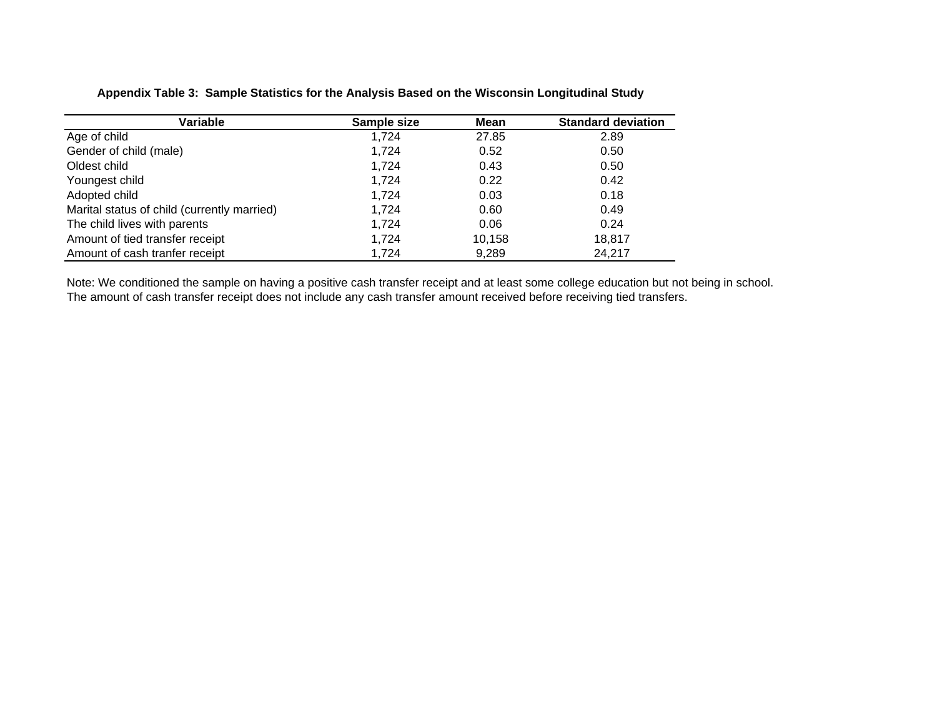## **Appendix Table 3: Sample Statistics for the Analysis Based on the Wisconsin Longitudinal Study**

| Variable                                    | Sample size | Mean   | <b>Standard deviation</b> |
|---------------------------------------------|-------------|--------|---------------------------|
| Age of child                                | 1,724       | 27.85  | 2.89                      |
| Gender of child (male)                      | 1,724       | 0.52   | 0.50                      |
| Oldest child                                | 1.724       | 0.43   | 0.50                      |
| Youngest child                              | 1,724       | 0.22   | 0.42                      |
| Adopted child                               | 1.724       | 0.03   | 0.18                      |
| Marital status of child (currently married) | 1,724       | 0.60   | 0.49                      |
| The child lives with parents                | 1.724       | 0.06   | 0.24                      |
| Amount of tied transfer receipt             | 1,724       | 10,158 | 18,817                    |
| Amount of cash tranfer receipt              | 1.724       | 9,289  | 24,217                    |

Note: We conditioned the sample on having a positive cash transfer receipt and at least some college education but not being in school. The amount of cash transfer receipt does not include any cash transfer amount received before receiving tied transfers.